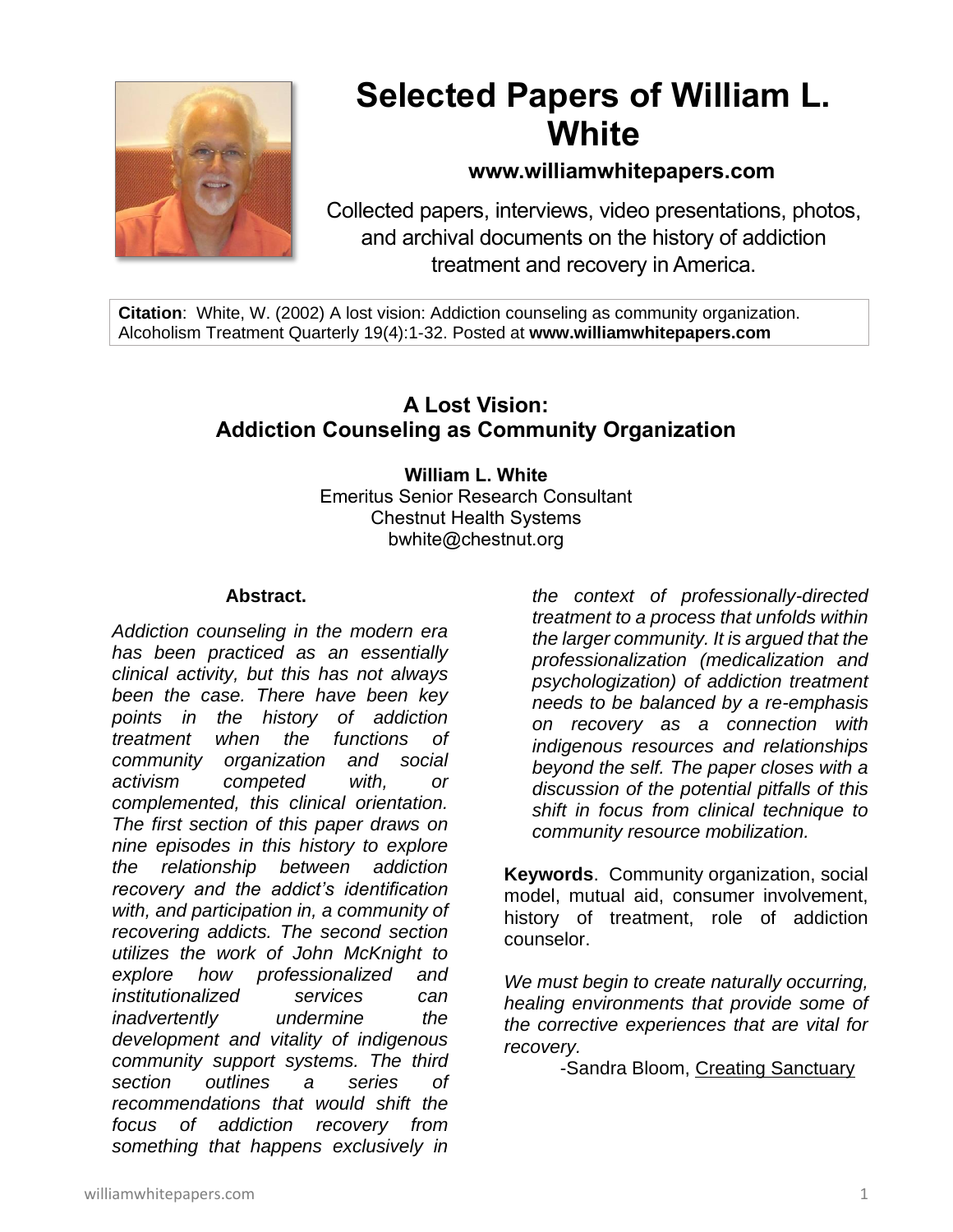

# **Selected Papers of William L. White**

# **www.williamwhitepapers.com**

Collected papers, interviews, video presentations, photos, and archival documents on the history of addiction treatment and recovery in America.

**Citation**: White, W. (2002) A lost vision: Addiction counseling as community organization. Alcoholism Treatment Quarterly 19(4):1-32. Posted at **www.williamwhitepapers.com**

# **A Lost Vision: Addiction Counseling as Community Organization**

#### **William L. White** Emeritus Senior Research Consultant Chestnut Health Systems bwhite@chestnut.org

#### **Abstract.**

*Addiction counseling in the modern era has been practiced as an essentially clinical activity, but this has not always been the case. There have been key points in the history of addiction treatment when the functions of community organization and social activism competed with, or complemented, this clinical orientation. The first section of this paper draws on nine episodes in this history to explore the relationship between addiction recovery and the addict's identification with, and participation in, a community of recovering addicts. The second section utilizes the work of John McKnight to explore how professionalized and institutionalized services can inadvertently undermine the development and vitality of indigenous community support systems. The third section outlines a series of recommendations that would shift the focus of addiction recovery from something that happens exclusively in* 

*the context of professionally-directed treatment to a process that unfolds within the larger community. It is argued that the professionalization (medicalization and psychologization) of addiction treatment needs to be balanced by a re-emphasis on recovery as a connection with indigenous resources and relationships beyond the self. The paper closes with a discussion of the potential pitfalls of this shift in focus from clinical technique to community resource mobilization.*

**Keywords**. Community organization, social model, mutual aid, consumer involvement, history of treatment, role of addiction counselor.

*We must begin to create naturally occurring, healing environments that provide some of the corrective experiences that are vital for recovery.* 

-Sandra Bloom, Creating Sanctuary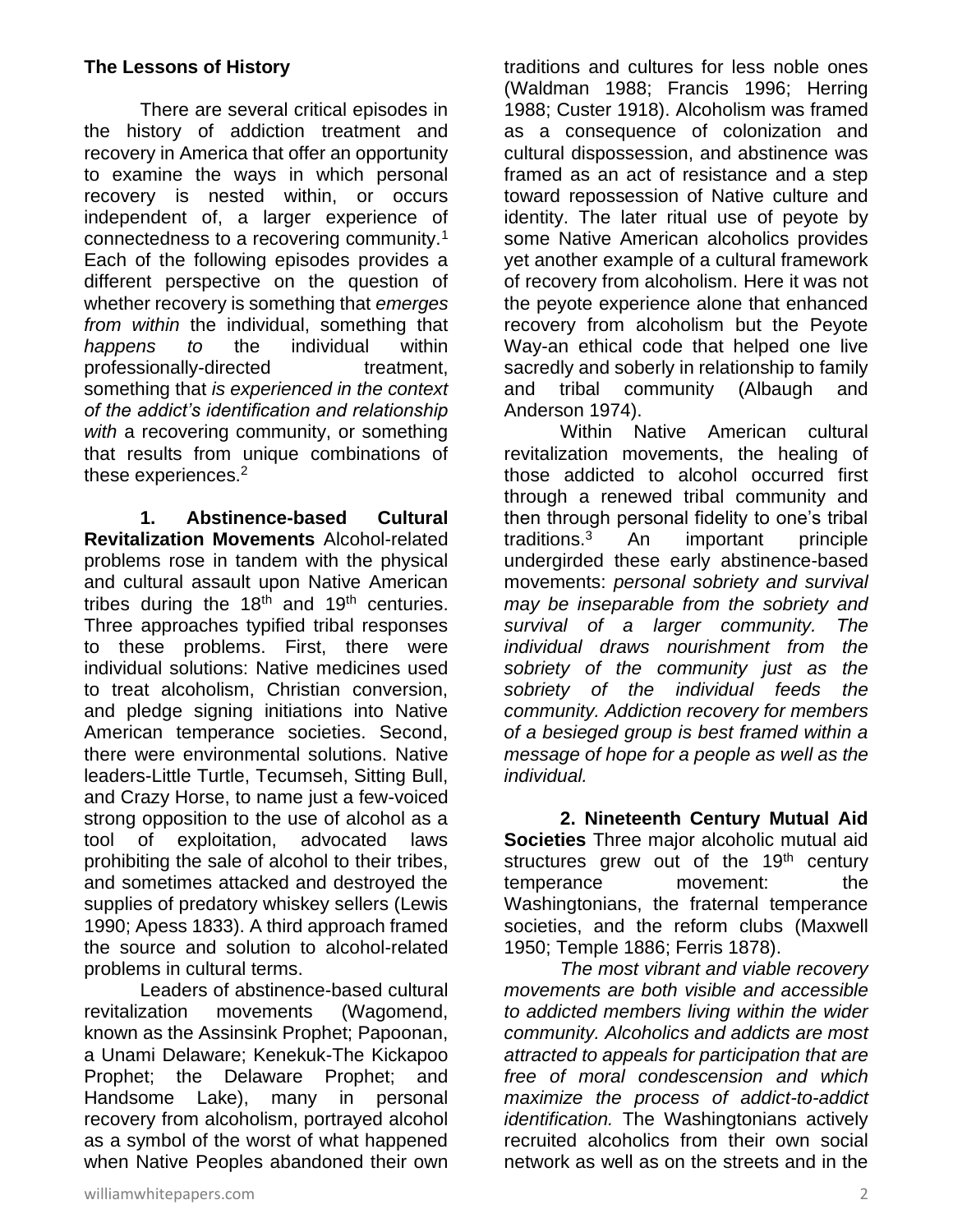## **The Lessons of History**

There are several critical episodes in the history of addiction treatment and recovery in America that offer an opportunity to examine the ways in which personal recovery is nested within, or occurs independent of, a larger experience of connectedness to a recovering community.<sup>1</sup> Each of the following episodes provides a different perspective on the question of whether recovery is something that *emerges from within* the individual, something that *happens to* the individual within professionally-directed treatment, something that *is experienced in the context of the addict's identification and relationship with* a recovering community, or something that results from unique combinations of these experiences.<sup>2</sup>

**1. Abstinence-based Cultural Revitalization Movements** Alcohol-related problems rose in tandem with the physical and cultural assault upon Native American tribes during the  $18<sup>th</sup>$  and  $19<sup>th</sup>$  centuries. Three approaches typified tribal responses to these problems. First, there were individual solutions: Native medicines used to treat alcoholism, Christian conversion, and pledge signing initiations into Native American temperance societies. Second, there were environmental solutions. Native leaders-Little Turtle, Tecumseh, Sitting Bull, and Crazy Horse, to name just a few-voiced strong opposition to the use of alcohol as a tool of exploitation, advocated laws prohibiting the sale of alcohol to their tribes, and sometimes attacked and destroyed the supplies of predatory whiskey sellers (Lewis 1990; Apess 1833). A third approach framed the source and solution to alcohol-related problems in cultural terms.

Leaders of abstinence-based cultural revitalization movements (Wagomend, known as the Assinsink Prophet; Papoonan, a Unami Delaware; Kenekuk-The Kickapoo Prophet; the Delaware Prophet; and Handsome Lake), many in personal recovery from alcoholism, portrayed alcohol as a symbol of the worst of what happened when Native Peoples abandoned their own traditions and cultures for less noble ones (Waldman 1988; Francis 1996; Herring 1988; Custer 1918). Alcoholism was framed as a consequence of colonization and cultural dispossession, and abstinence was framed as an act of resistance and a step toward repossession of Native culture and identity. The later ritual use of peyote by some Native American alcoholics provides yet another example of a cultural framework of recovery from alcoholism. Here it was not the peyote experience alone that enhanced recovery from alcoholism but the Peyote Way-an ethical code that helped one live sacredly and soberly in relationship to family and tribal community (Albaugh and Anderson 1974).

Within Native American cultural revitalization movements, the healing of those addicted to alcohol occurred first through a renewed tribal community and then through personal fidelity to one's tribal traditions.<sup>3</sup> An important principle undergirded these early abstinence-based movements: *personal sobriety and survival may be inseparable from the sobriety and survival of a larger community. The individual draws nourishment from the sobriety of the community just as the sobriety of the individual feeds the community. Addiction recovery for members of a besieged group is best framed within a message of hope for a people as well as the individual.*

**2. Nineteenth Century Mutual Aid Societies** Three major alcoholic mutual aid structures grew out of the  $19<sup>th</sup>$  century temperance movement: the Washingtonians, the fraternal temperance societies, and the reform clubs (Maxwell 1950; Temple 1886; Ferris 1878).

*The most vibrant and viable recovery movements are both visible and accessible to addicted members living within the wider community. Alcoholics and addicts are most attracted to appeals for participation that are free of moral condescension and which maximize the process of addict-to-addict identification.* The Washingtonians actively recruited alcoholics from their own social network as well as on the streets and in the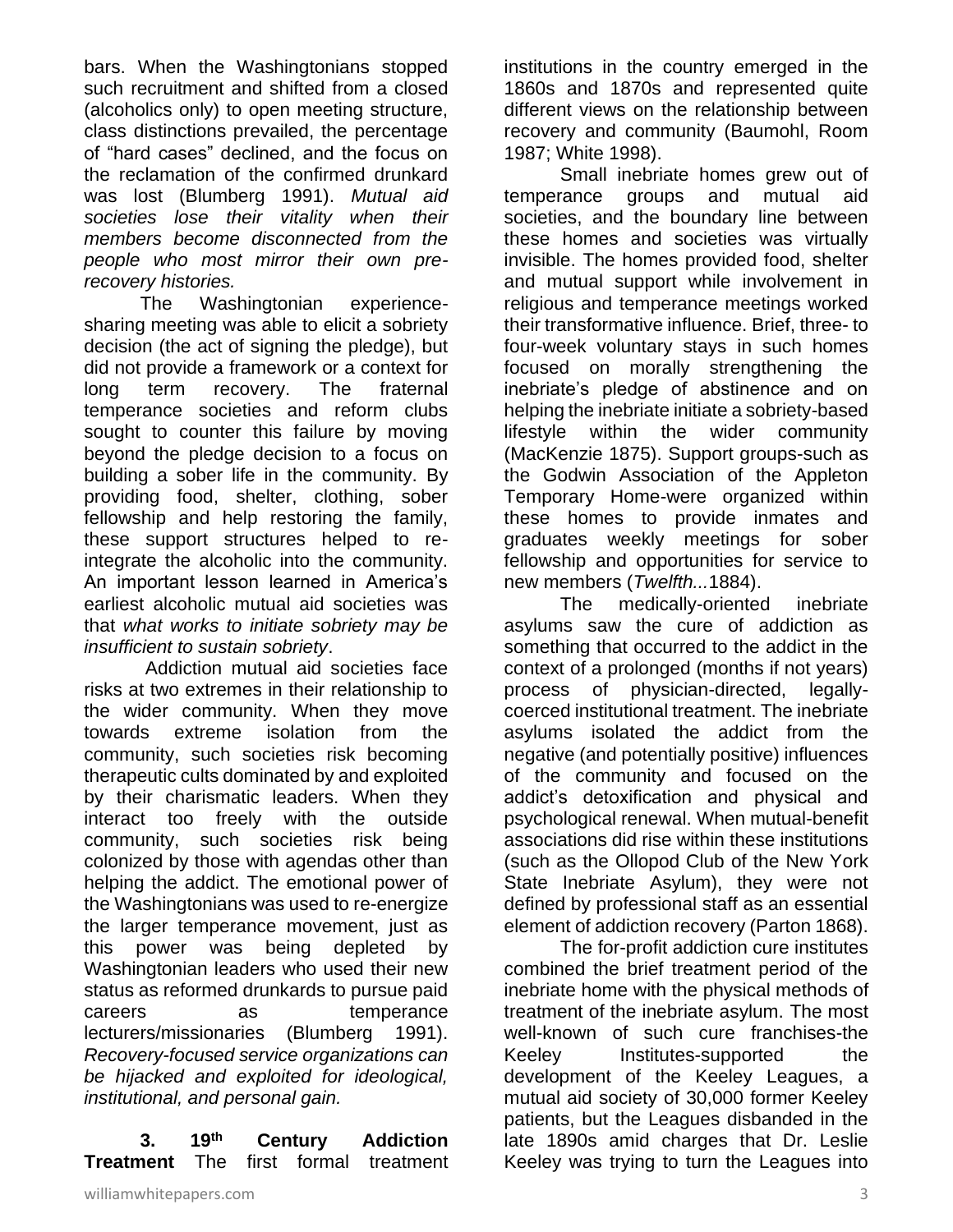bars. When the Washingtonians stopped such recruitment and shifted from a closed (alcoholics only) to open meeting structure, class distinctions prevailed, the percentage of "hard cases" declined, and the focus on the reclamation of the confirmed drunkard was lost (Blumberg 1991). *Mutual aid societies lose their vitality when their members become disconnected from the people who most mirror their own pre-*

*recovery histories.* Washingtonian experiencesharing meeting was able to elicit a sobriety decision (the act of signing the pledge), but did not provide a framework or a context for long term recovery. The fraternal temperance societies and reform clubs sought to counter this failure by moving beyond the pledge decision to a focus on building a sober life in the community. By providing food, shelter, clothing, sober fellowship and help restoring the family, these support structures helped to reintegrate the alcoholic into the community. An important lesson learned in America's earliest alcoholic mutual aid societies was that *what works to initiate sobriety may be insufficient to sustain sobriety*.

Addiction mutual aid societies face risks at two extremes in their relationship to the wider community. When they move towards extreme isolation from the community, such societies risk becoming therapeutic cults dominated by and exploited by their charismatic leaders. When they interact too freely with the outside community, such societies risk being colonized by those with agendas other than helping the addict. The emotional power of the Washingtonians was used to re-energize the larger temperance movement, just as this power was being depleted by Washingtonian leaders who used their new status as reformed drunkards to pursue paid careers as temperance lecturers/missionaries (Blumberg 1991). *Recovery-focused service organizations can be hijacked and exploited for ideological, institutional, and personal gain.*

**3. 19th Century Addiction Treatment** The first formal treatment institutions in the country emerged in the 1860s and 1870s and represented quite different views on the relationship between recovery and community (Baumohl, Room 1987; White 1998).

Small inebriate homes grew out of temperance groups and mutual aid societies, and the boundary line between these homes and societies was virtually invisible. The homes provided food, shelter and mutual support while involvement in religious and temperance meetings worked their transformative influence. Brief, three- to four-week voluntary stays in such homes focused on morally strengthening the inebriate's pledge of abstinence and on helping the inebriate initiate a sobriety-based lifestyle within the wider community (MacKenzie 1875). Support groups-such as the Godwin Association of the Appleton Temporary Home-were organized within these homes to provide inmates and graduates weekly meetings for sober fellowship and opportunities for service to new members (*Twelfth...*1884).

The medically-oriented inebriate asylums saw the cure of addiction as something that occurred to the addict in the context of a prolonged (months if not years) process of physician-directed, legallycoerced institutional treatment. The inebriate asylums isolated the addict from the negative (and potentially positive) influences of the community and focused on the addict's detoxification and physical and psychological renewal. When mutual-benefit associations did rise within these institutions (such as the Ollopod Club of the New York State Inebriate Asylum), they were not defined by professional staff as an essential element of addiction recovery (Parton 1868).

The for-profit addiction cure institutes combined the brief treatment period of the inebriate home with the physical methods of treatment of the inebriate asylum. The most well-known of such cure franchises-the Keeley Institutes-supported the development of the Keeley Leagues, a mutual aid society of 30,000 former Keeley patients, but the Leagues disbanded in the late 1890s amid charges that Dr. Leslie Keeley was trying to turn the Leagues into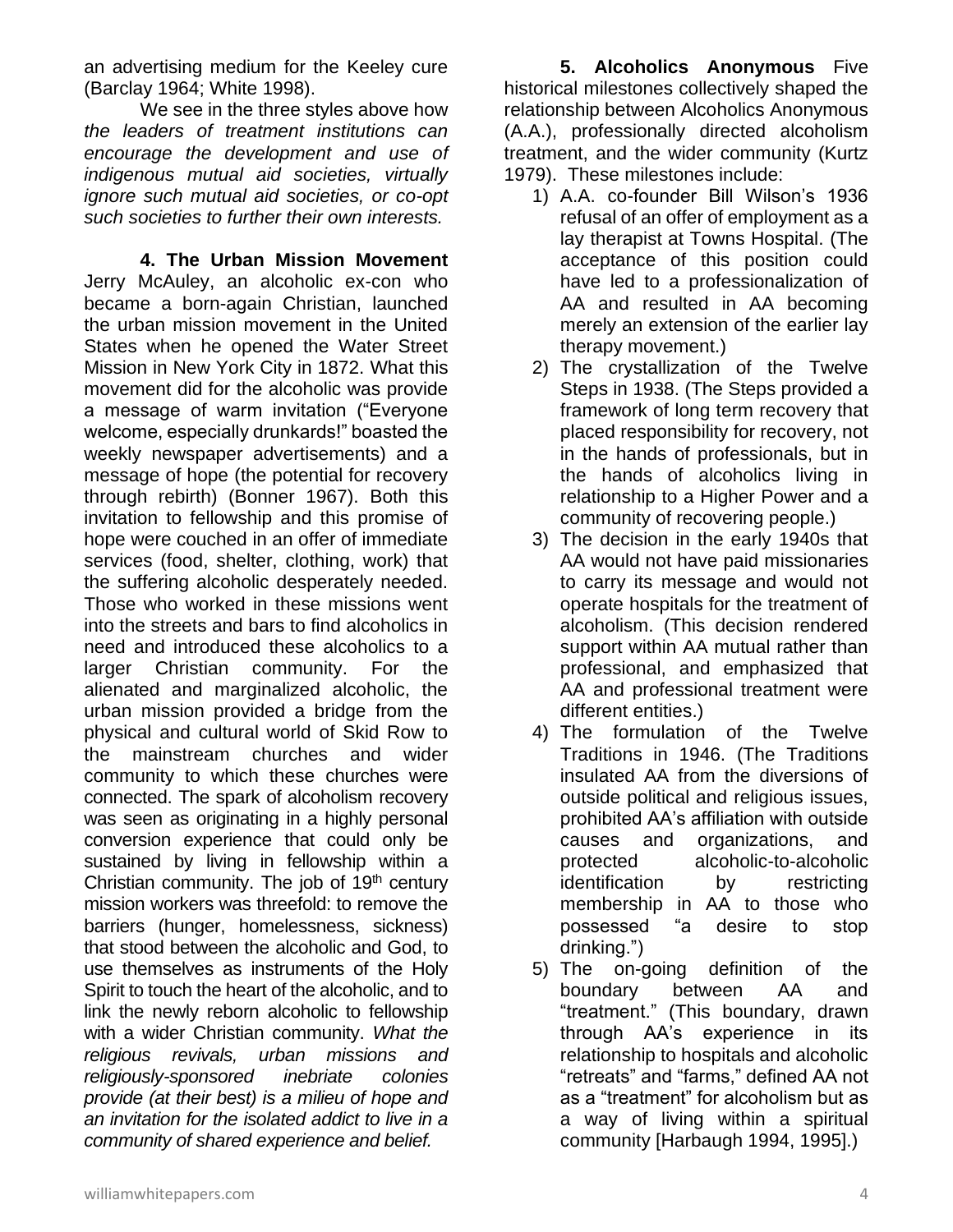an advertising medium for the Keeley cure (Barclay 1964; White 1998).

We see in the three styles above how *the leaders of treatment institutions can encourage the development and use of indigenous mutual aid societies, virtually ignore such mutual aid societies, or co-opt such societies to further their own interests.*

**4. The Urban Mission Movement** Jerry McAuley, an alcoholic ex-con who became a born-again Christian, launched the urban mission movement in the United States when he opened the Water Street Mission in New York City in 1872. What this movement did for the alcoholic was provide a message of warm invitation ("Everyone welcome, especially drunkards!" boasted the weekly newspaper advertisements) and a message of hope (the potential for recovery through rebirth) (Bonner 1967). Both this invitation to fellowship and this promise of hope were couched in an offer of immediate services (food, shelter, clothing, work) that the suffering alcoholic desperately needed. Those who worked in these missions went into the streets and bars to find alcoholics in need and introduced these alcoholics to a larger Christian community. For the alienated and marginalized alcoholic, the urban mission provided a bridge from the physical and cultural world of Skid Row to the mainstream churches and wider community to which these churches were connected. The spark of alcoholism recovery was seen as originating in a highly personal conversion experience that could only be sustained by living in fellowship within a Christian community. The job of 19<sup>th</sup> century mission workers was threefold: to remove the barriers (hunger, homelessness, sickness) that stood between the alcoholic and God, to use themselves as instruments of the Holy Spirit to touch the heart of the alcoholic, and to link the newly reborn alcoholic to fellowship with a wider Christian community. *What the religious revivals, urban missions and religiously-sponsored inebriate colonies provide (at their best) is a milieu of hope and an invitation for the isolated addict to live in a community of shared experience and belief.*

**5. Alcoholics Anonymous** Five historical milestones collectively shaped the relationship between Alcoholics Anonymous (A.A.), professionally directed alcoholism treatment, and the wider community (Kurtz 1979). These milestones include:

- 1) A.A. co-founder Bill Wilson's 1936 refusal of an offer of employment as a lay therapist at Towns Hospital. (The acceptance of this position could have led to a professionalization of AA and resulted in AA becoming merely an extension of the earlier lay therapy movement.)
- 2) The crystallization of the Twelve Steps in 1938. (The Steps provided a framework of long term recovery that placed responsibility for recovery, not in the hands of professionals, but in the hands of alcoholics living in relationship to a Higher Power and a community of recovering people.)
- 3) The decision in the early 1940s that AA would not have paid missionaries to carry its message and would not operate hospitals for the treatment of alcoholism. (This decision rendered support within AA mutual rather than professional, and emphasized that AA and professional treatment were different entities.)
- 4) The formulation of the Twelve Traditions in 1946. (The Traditions insulated AA from the diversions of outside political and religious issues, prohibited AA's affiliation with outside causes and organizations, and protected alcoholic-to-alcoholic identification by restricting membership in AA to those who possessed "a desire to stop drinking.")
- 5) The on-going definition of the boundary between AA and "treatment." (This boundary, drawn through AA's experience in its relationship to hospitals and alcoholic "retreats" and "farms," defined AA not as a "treatment" for alcoholism but as a way of living within a spiritual community [Harbaugh 1994, 1995].)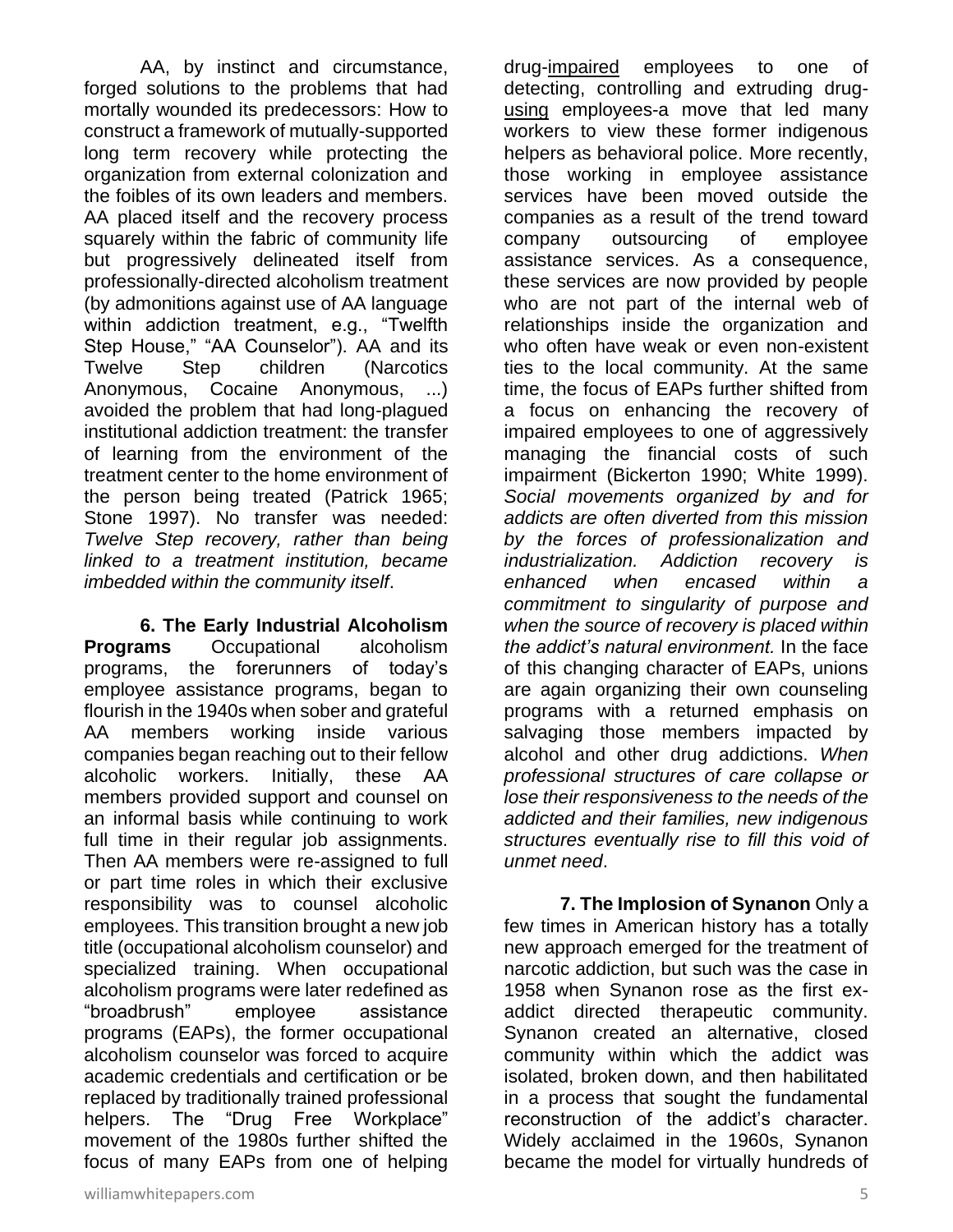AA, by instinct and circumstance, forged solutions to the problems that had mortally wounded its predecessors: How to construct a framework of mutually-supported long term recovery while protecting the organization from external colonization and the foibles of its own leaders and members. AA placed itself and the recovery process squarely within the fabric of community life but progressively delineated itself from professionally-directed alcoholism treatment (by admonitions against use of AA language within addiction treatment, e.g., "Twelfth Step House," "AA Counselor"). AA and its Twelve Step children (Narcotics Anonymous, Cocaine Anonymous, ...) avoided the problem that had long-plagued institutional addiction treatment: the transfer of learning from the environment of the treatment center to the home environment of the person being treated (Patrick 1965; Stone 1997). No transfer was needed: *Twelve Step recovery, rather than being linked to a treatment institution, became imbedded within the community itself*.

**6. The Early Industrial Alcoholism Programs** Occupational alcoholism programs, the forerunners of today's employee assistance programs, began to flourish in the 1940s when sober and grateful AA members working inside various companies began reaching out to their fellow alcoholic workers. Initially, these AA members provided support and counsel on an informal basis while continuing to work full time in their regular job assignments. Then AA members were re-assigned to full or part time roles in which their exclusive responsibility was to counsel alcoholic employees. This transition brought a new job title (occupational alcoholism counselor) and specialized training. When occupational alcoholism programs were later redefined as "broadbrush" employee assistance programs (EAPs), the former occupational alcoholism counselor was forced to acquire academic credentials and certification or be replaced by traditionally trained professional helpers. The "Drug Free Workplace" movement of the 1980s further shifted the focus of many EAPs from one of helping

drug-impaired employees to one of detecting, controlling and extruding drugusing employees-a move that led many workers to view these former indigenous helpers as behavioral police. More recently, those working in employee assistance services have been moved outside the companies as a result of the trend toward company outsourcing of employee assistance services. As a consequence, these services are now provided by people who are not part of the internal web of relationships inside the organization and who often have weak or even non-existent ties to the local community. At the same time, the focus of EAPs further shifted from a focus on enhancing the recovery of impaired employees to one of aggressively managing the financial costs of such impairment (Bickerton 1990; White 1999). *Social movements organized by and for addicts are often diverted from this mission by the forces of professionalization and industrialization. Addiction recovery is enhanced when encased within a commitment to singularity of purpose and when the source of recovery is placed within the addict's natural environment.* In the face of this changing character of EAPs, unions are again organizing their own counseling programs with a returned emphasis on salvaging those members impacted by alcohol and other drug addictions. *When professional structures of care collapse or lose their responsiveness to the needs of the addicted and their families, new indigenous structures eventually rise to fill this void of unmet need*.

**7. The Implosion of Synanon** Only a few times in American history has a totally new approach emerged for the treatment of narcotic addiction, but such was the case in 1958 when Synanon rose as the first exaddict directed therapeutic community. Synanon created an alternative, closed community within which the addict was isolated, broken down, and then habilitated in a process that sought the fundamental reconstruction of the addict's character. Widely acclaimed in the 1960s, Synanon became the model for virtually hundreds of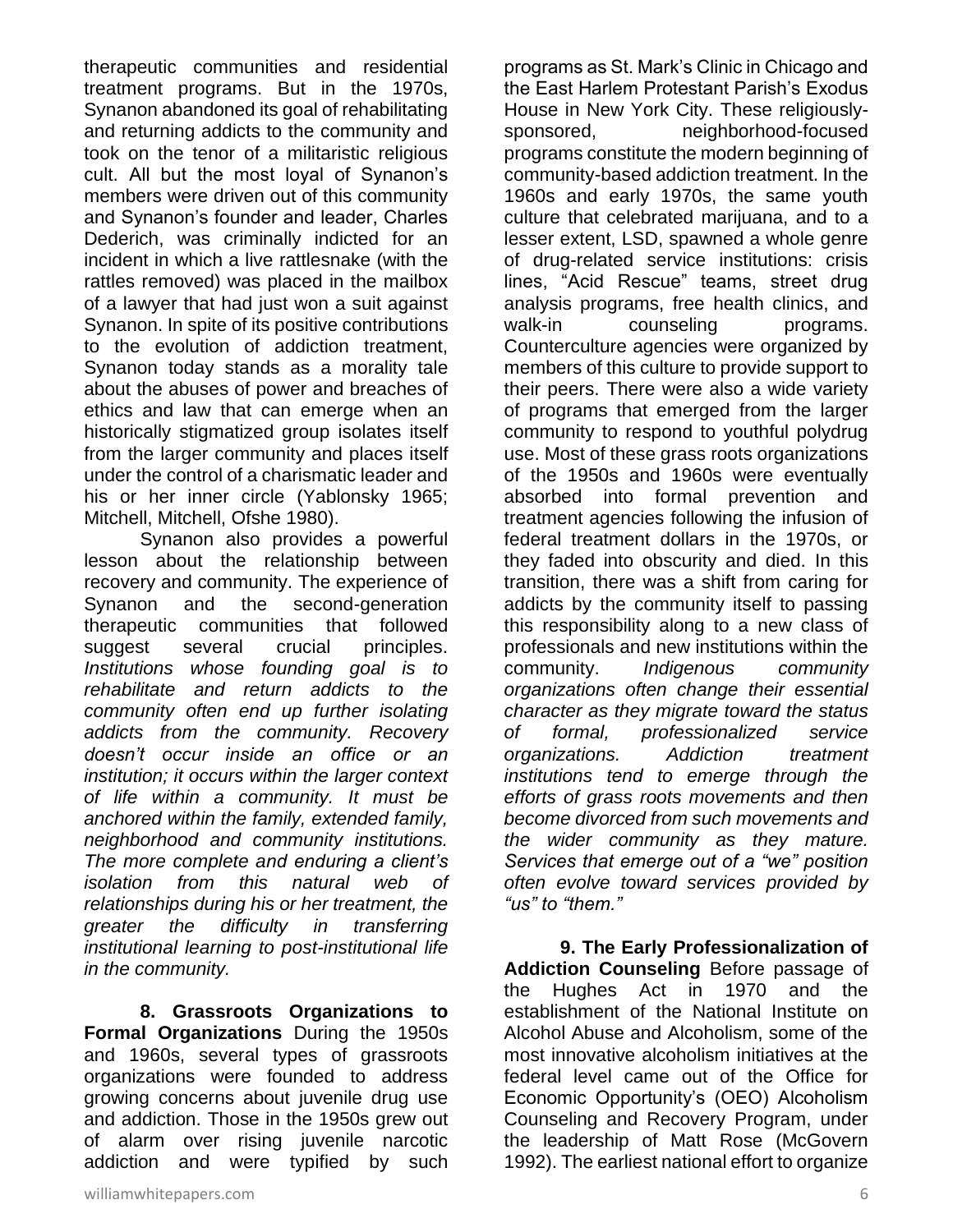therapeutic communities and residential treatment programs. But in the 1970s, Synanon abandoned its goal of rehabilitating and returning addicts to the community and took on the tenor of a militaristic religious cult. All but the most loyal of Synanon's members were driven out of this community and Synanon's founder and leader, Charles Dederich, was criminally indicted for an incident in which a live rattlesnake (with the rattles removed) was placed in the mailbox of a lawyer that had just won a suit against Synanon. In spite of its positive contributions to the evolution of addiction treatment, Synanon today stands as a morality tale about the abuses of power and breaches of ethics and law that can emerge when an historically stigmatized group isolates itself from the larger community and places itself under the control of a charismatic leader and his or her inner circle (Yablonsky 1965; Mitchell, Mitchell, Ofshe 1980).

Synanon also provides a powerful lesson about the relationship between recovery and community. The experience of Synanon and the second-generation therapeutic communities that followed suggest several crucial principles. *Institutions whose founding goal is to rehabilitate and return addicts to the community often end up further isolating addicts from the community. Recovery doesn't occur inside an office or an institution; it occurs within the larger context of life within a community. It must be anchored within the family, extended family, neighborhood and community institutions. The more complete and enduring a client's isolation from this natural web of relationships during his or her treatment, the greater the difficulty in transferring institutional learning to post-institutional life in the community.* 

**8. Grassroots Organizations to Formal Organizations** During the 1950s and 1960s, several types of grassroots organizations were founded to address growing concerns about juvenile drug use and addiction. Those in the 1950s grew out of alarm over rising juvenile narcotic addiction and were typified by such programs as St. Mark's Clinic in Chicago and the East Harlem Protestant Parish's Exodus House in New York City. These religiouslysponsored, neighborhood-focused programs constitute the modern beginning of community-based addiction treatment. In the 1960s and early 1970s, the same youth culture that celebrated marijuana, and to a lesser extent, LSD, spawned a whole genre of drug-related service institutions: crisis lines, "Acid Rescue" teams, street drug analysis programs, free health clinics, and walk-in counseling programs. Counterculture agencies were organized by members of this culture to provide support to their peers. There were also a wide variety of programs that emerged from the larger community to respond to youthful polydrug use. Most of these grass roots organizations of the 1950s and 1960s were eventually absorbed into formal prevention and treatment agencies following the infusion of federal treatment dollars in the 1970s, or they faded into obscurity and died. In this transition, there was a shift from caring for addicts by the community itself to passing this responsibility along to a new class of professionals and new institutions within the community. *Indigenous community organizations often change their essential character as they migrate toward the status of formal, professionalized service organizations. Addiction treatment institutions tend to emerge through the efforts of grass roots movements and then become divorced from such movements and the wider community as they mature. Services that emerge out of a "we" position often evolve toward services provided by "us" to "them."* 

**9. The Early Professionalization of Addiction Counseling** Before passage of the Hughes Act in 1970 and the establishment of the National Institute on Alcohol Abuse and Alcoholism, some of the most innovative alcoholism initiatives at the federal level came out of the Office for Economic Opportunity's (OEO) Alcoholism Counseling and Recovery Program, under the leadership of Matt Rose (McGovern 1992). The earliest national effort to organize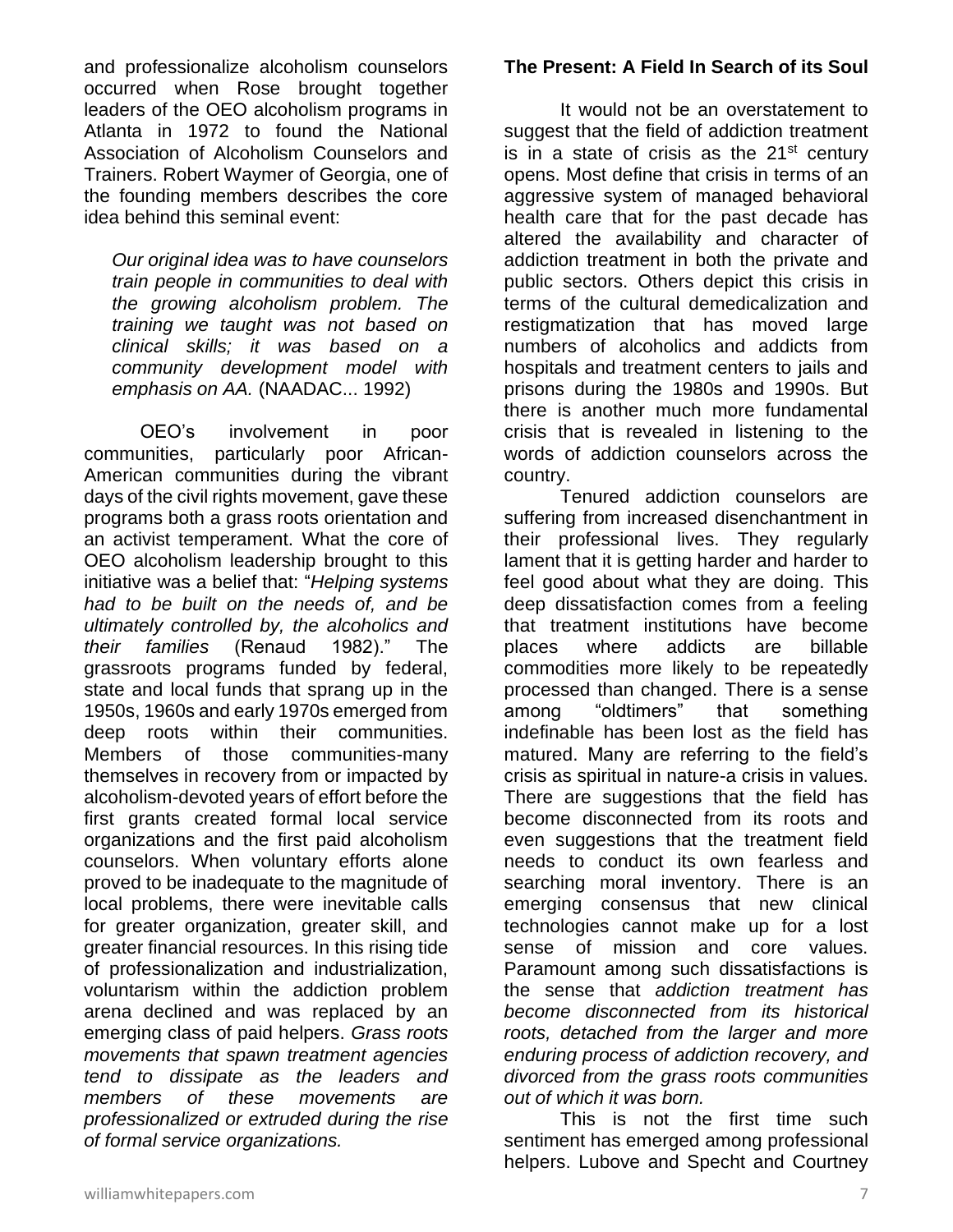and professionalize alcoholism counselors occurred when Rose brought together leaders of the OEO alcoholism programs in Atlanta in 1972 to found the National Association of Alcoholism Counselors and Trainers. Robert Waymer of Georgia, one of the founding members describes the core idea behind this seminal event:

*Our original idea was to have counselors train people in communities to deal with the growing alcoholism problem. The training we taught was not based on clinical skills; it was based on a community development model with emphasis on AA.* (NAADAC... 1992)

OEO's involvement in poor communities, particularly poor African-American communities during the vibrant days of the civil rights movement, gave these programs both a grass roots orientation and an activist temperament. What the core of OEO alcoholism leadership brought to this initiative was a belief that: "*Helping systems had to be built on the needs of, and be ultimately controlled by, the alcoholics and their families* (Renaud 1982)." The grassroots programs funded by federal, state and local funds that sprang up in the 1950s, 1960s and early 1970s emerged from deep roots within their communities. Members of those communities-many themselves in recovery from or impacted by alcoholism-devoted years of effort before the first grants created formal local service organizations and the first paid alcoholism counselors. When voluntary efforts alone proved to be inadequate to the magnitude of local problems, there were inevitable calls for greater organization, greater skill, and greater financial resources. In this rising tide of professionalization and industrialization, voluntarism within the addiction problem arena declined and was replaced by an emerging class of paid helpers. *Grass roots movements that spawn treatment agencies tend to dissipate as the leaders and members of these movements are professionalized or extruded during the rise of formal service organizations.* 

## **The Present: A Field In Search of its Soul**

It would not be an overstatement to suggest that the field of addiction treatment is in a state of crisis as the  $21<sup>st</sup>$  century opens. Most define that crisis in terms of an aggressive system of managed behavioral health care that for the past decade has altered the availability and character of addiction treatment in both the private and public sectors. Others depict this crisis in terms of the cultural demedicalization and restigmatization that has moved large numbers of alcoholics and addicts from hospitals and treatment centers to jails and prisons during the 1980s and 1990s. But there is another much more fundamental crisis that is revealed in listening to the words of addiction counselors across the country.

Tenured addiction counselors are suffering from increased disenchantment in their professional lives. They regularly lament that it is getting harder and harder to feel good about what they are doing. This deep dissatisfaction comes from a feeling that treatment institutions have become places where addicts are billable commodities more likely to be repeatedly processed than changed. There is a sense among "oldtimers" that something indefinable has been lost as the field has matured. Many are referring to the field's crisis as spiritual in nature-a crisis in values. There are suggestions that the field has become disconnected from its roots and even suggestions that the treatment field needs to conduct its own fearless and searching moral inventory. There is an emerging consensus that new clinical technologies cannot make up for a lost sense of mission and core values. Paramount among such dissatisfactions is the sense that *addiction treatment has become disconnected from its historical roots, detached from the larger and more enduring process of addiction recovery, and divorced from the grass roots communities out of which it was born.*

This is not the first time such sentiment has emerged among professional helpers. Lubove and Specht and Courtney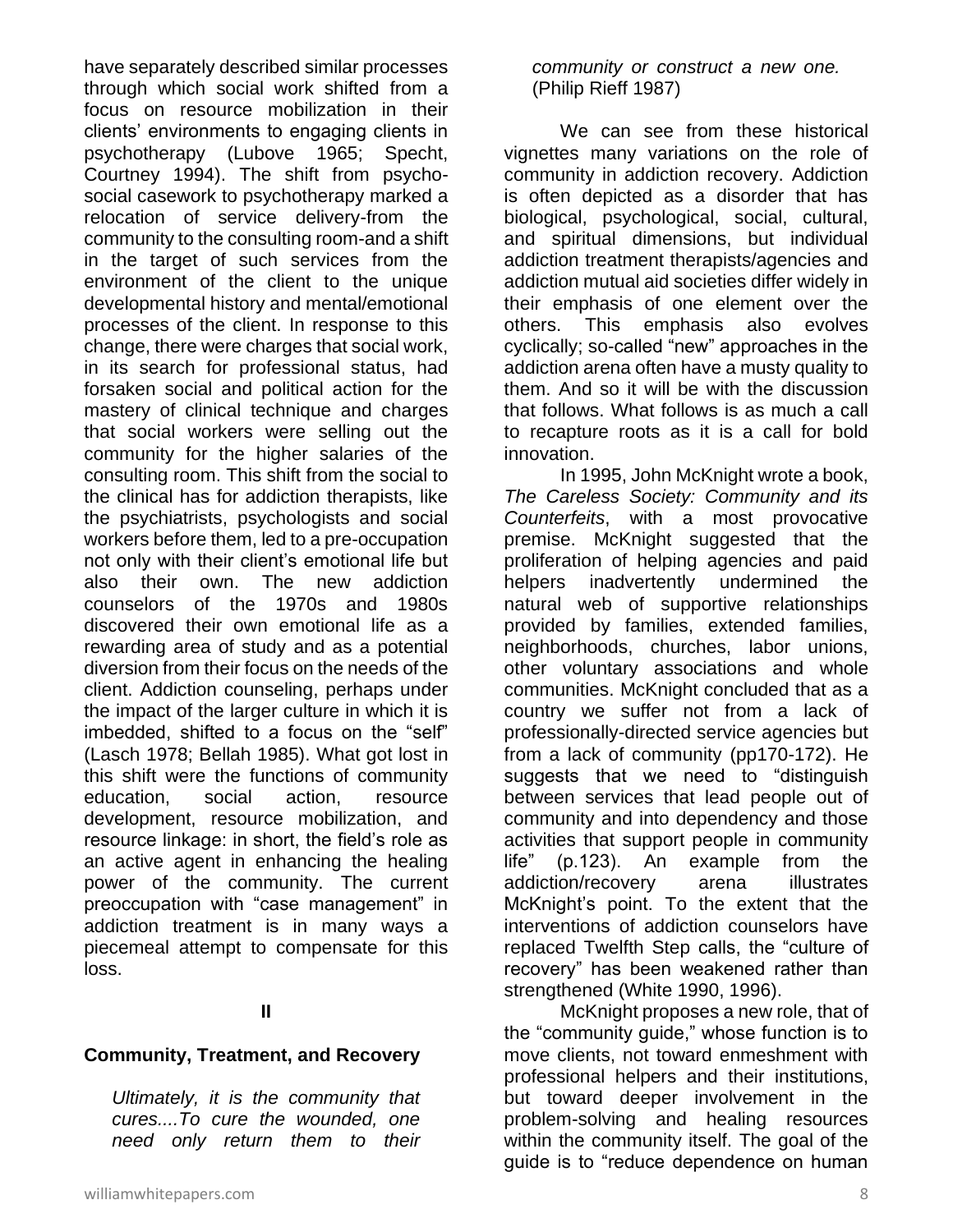have separately described similar processes through which social work shifted from a focus on resource mobilization in their clients' environments to engaging clients in psychotherapy (Lubove 1965; Specht, Courtney 1994). The shift from psychosocial casework to psychotherapy marked a relocation of service delivery-from the community to the consulting room-and a shift in the target of such services from the environment of the client to the unique developmental history and mental/emotional processes of the client. In response to this change, there were charges that social work, in its search for professional status, had forsaken social and political action for the mastery of clinical technique and charges that social workers were selling out the community for the higher salaries of the consulting room. This shift from the social to the clinical has for addiction therapists, like the psychiatrists, psychologists and social workers before them, led to a pre-occupation not only with their client's emotional life but also their own. The new addiction counselors of the 1970s and 1980s discovered their own emotional life as a rewarding area of study and as a potential diversion from their focus on the needs of the client. Addiction counseling, perhaps under the impact of the larger culture in which it is imbedded, shifted to a focus on the "self" (Lasch 1978; Bellah 1985). What got lost in this shift were the functions of community education, social action, resource development, resource mobilization, and resource linkage: in short, the field's role as an active agent in enhancing the healing power of the community. The current preoccupation with "case management" in addiction treatment is in many ways a piecemeal attempt to compensate for this loss.

#### **II**

# **Community, Treatment, and Recovery**

*Ultimately, it is the community that cures....To cure the wounded, one need only return them to their* 

We can see from these historical vignettes many variations on the role of community in addiction recovery. Addiction is often depicted as a disorder that has biological, psychological, social, cultural, and spiritual dimensions, but individual addiction treatment therapists/agencies and addiction mutual aid societies differ widely in their emphasis of one element over the others. This emphasis also evolves cyclically; so-called "new" approaches in the addiction arena often have a musty quality to them. And so it will be with the discussion that follows. What follows is as much a call to recapture roots as it is a call for bold innovation.

In 1995, John McKnight wrote a book, *The Careless Society: Community and its Counterfeits*, with a most provocative premise. McKnight suggested that the proliferation of helping agencies and paid helpers inadvertently undermined the natural web of supportive relationships provided by families, extended families, neighborhoods, churches, labor unions, other voluntary associations and whole communities. McKnight concluded that as a country we suffer not from a lack of professionally-directed service agencies but from a lack of community (pp170-172). He suggests that we need to "distinguish between services that lead people out of community and into dependency and those activities that support people in community life" (p.123). An example from the addiction/recovery arena illustrates McKnight's point. To the extent that the interventions of addiction counselors have replaced Twelfth Step calls, the "culture of recovery" has been weakened rather than strengthened (White 1990, 1996).

McKnight proposes a new role, that of the "community guide," whose function is to move clients, not toward enmeshment with professional helpers and their institutions, but toward deeper involvement in the problem-solving and healing resources within the community itself. The goal of the guide is to "reduce dependence on human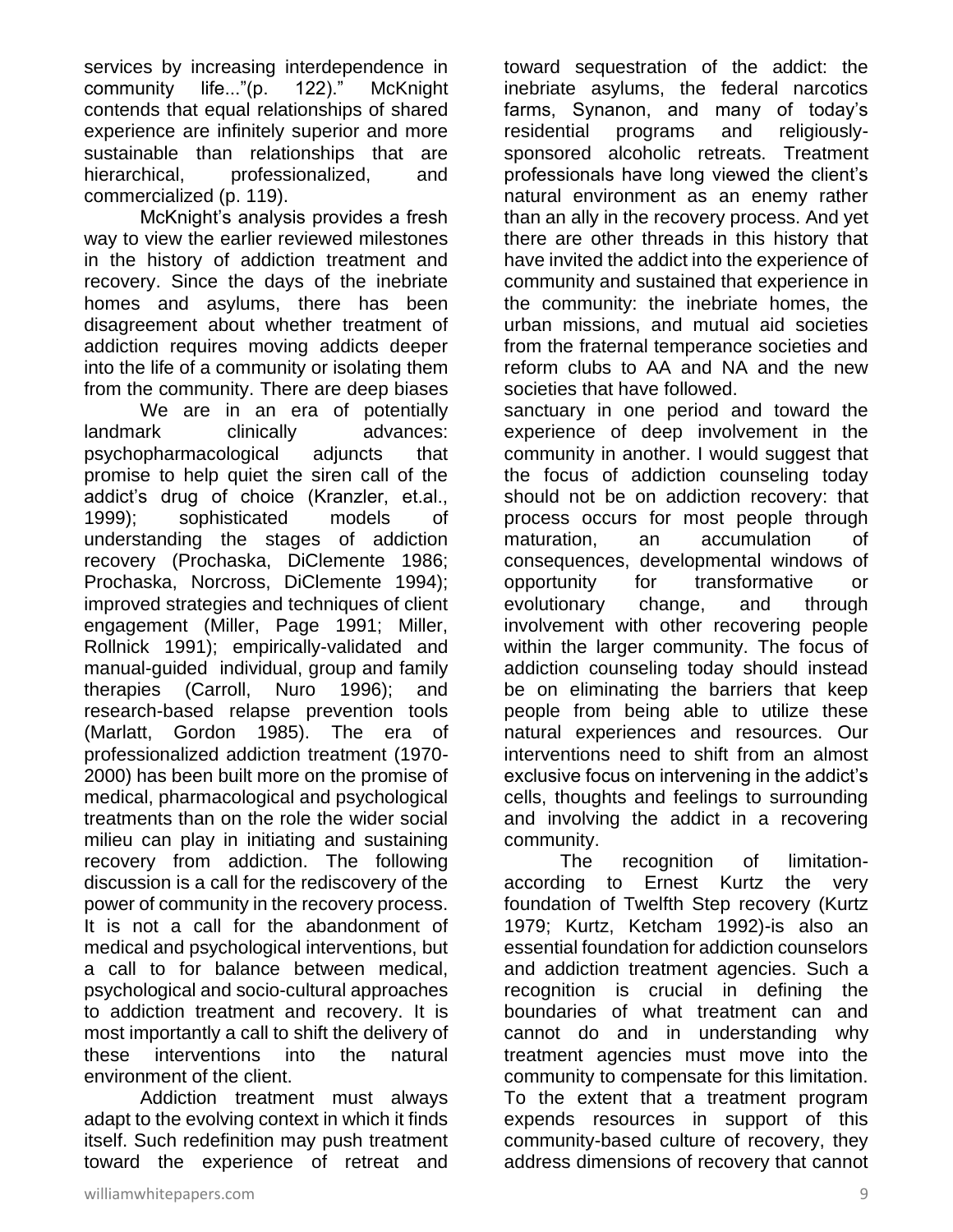services by increasing interdependence in community life..."(p. 122)." McKnight contends that equal relationships of shared experience are infinitely superior and more sustainable than relationships that are hierarchical, professionalized, and commercialized (p. 119).

McKnight's analysis provides a fresh way to view the earlier reviewed milestones in the history of addiction treatment and recovery. Since the days of the inebriate homes and asylums, there has been disagreement about whether treatment of addiction requires moving addicts deeper into the life of a community or isolating them from the community. There are deep biases

We are in an era of potentially landmark clinically advances: psychopharmacological adjuncts that promise to help quiet the siren call of the addict's drug of choice (Kranzler, et.al., 1999); sophisticated models of understanding the stages of addiction recovery (Prochaska, DiClemente 1986; Prochaska, Norcross, DiClemente 1994); improved strategies and techniques of client engagement (Miller, Page 1991; Miller, Rollnick 1991); empirically-validated and manual-guided individual, group and family therapies (Carroll, Nuro 1996); and research-based relapse prevention tools (Marlatt, Gordon 1985). The era of professionalized addiction treatment (1970- 2000) has been built more on the promise of medical, pharmacological and psychological treatments than on the role the wider social milieu can play in initiating and sustaining recovery from addiction. The following discussion is a call for the rediscovery of the power of community in the recovery process. It is not a call for the abandonment of medical and psychological interventions, but a call to for balance between medical, psychological and socio-cultural approaches to addiction treatment and recovery. It is most importantly a call to shift the delivery of these interventions into the natural environment of the client.

Addiction treatment must always adapt to the evolving context in which it finds itself. Such redefinition may push treatment toward the experience of retreat and toward sequestration of the addict: the inebriate asylums, the federal narcotics farms, Synanon, and many of today's residential programs and religiouslysponsored alcoholic retreats. Treatment professionals have long viewed the client's natural environment as an enemy rather than an ally in the recovery process. And yet there are other threads in this history that have invited the addict into the experience of community and sustained that experience in the community: the inebriate homes, the urban missions, and mutual aid societies from the fraternal temperance societies and reform clubs to AA and NA and the new societies that have followed.

sanctuary in one period and toward the experience of deep involvement in the community in another. I would suggest that the focus of addiction counseling today should not be on addiction recovery: that process occurs for most people through maturation, an accumulation of consequences, developmental windows of opportunity for transformative or evolutionary change, and through involvement with other recovering people within the larger community. The focus of addiction counseling today should instead be on eliminating the barriers that keep people from being able to utilize these natural experiences and resources. Our interventions need to shift from an almost exclusive focus on intervening in the addict's cells, thoughts and feelings to surrounding and involving the addict in a recovering community.

The recognition of limitationaccording to Ernest Kurtz the very foundation of Twelfth Step recovery (Kurtz 1979; Kurtz, Ketcham 1992)-is also an essential foundation for addiction counselors and addiction treatment agencies. Such a recognition is crucial in defining the boundaries of what treatment can and cannot do and in understanding why treatment agencies must move into the community to compensate for this limitation. To the extent that a treatment program expends resources in support of this community-based culture of recovery, they address dimensions of recovery that cannot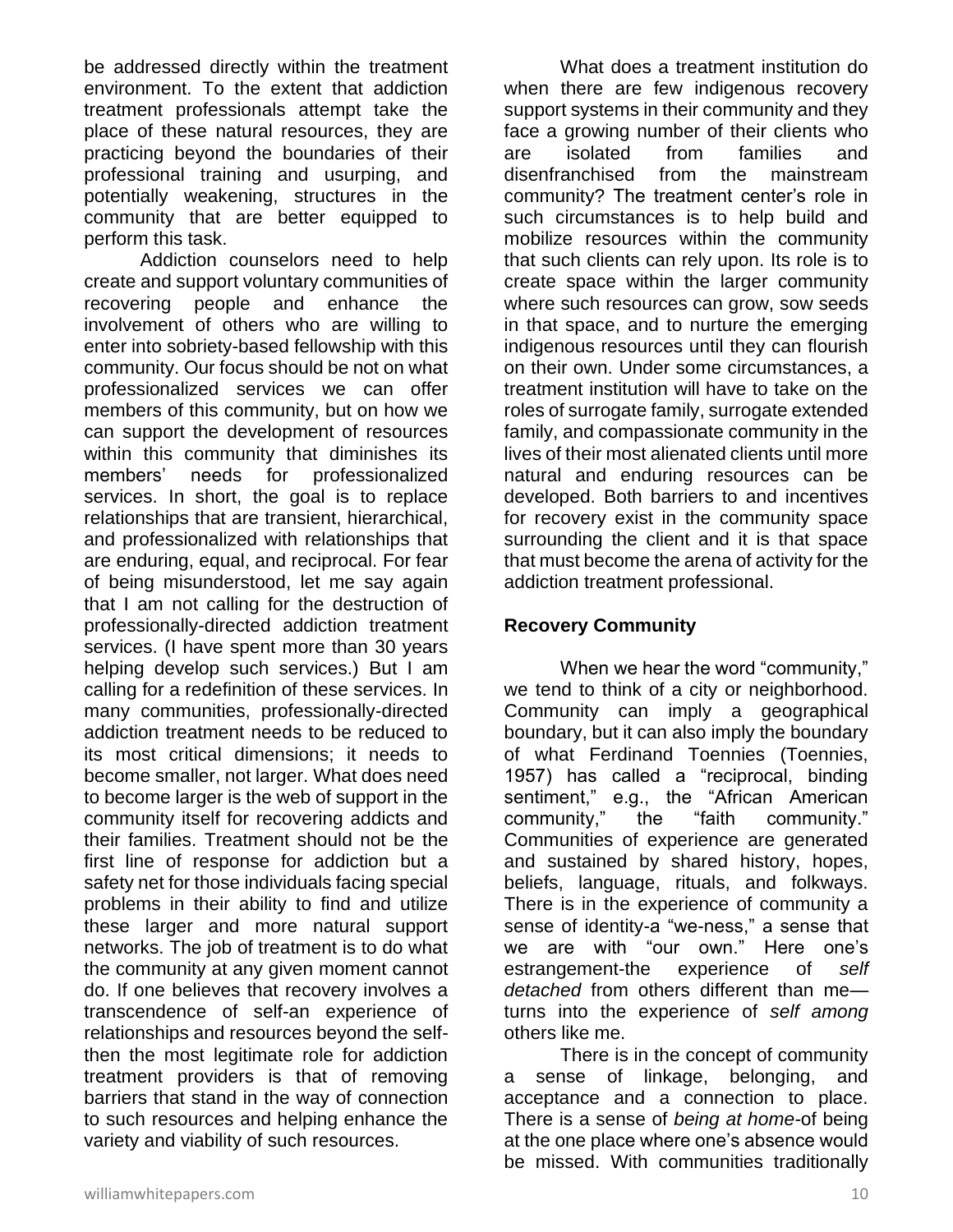be addressed directly within the treatment environment. To the extent that addiction treatment professionals attempt take the place of these natural resources, they are practicing beyond the boundaries of their professional training and usurping, and potentially weakening, structures in the community that are better equipped to perform this task.

Addiction counselors need to help create and support voluntary communities of recovering people and enhance the involvement of others who are willing to enter into sobriety-based fellowship with this community. Our focus should be not on what professionalized services we can offer members of this community, but on how we can support the development of resources within this community that diminishes its members' needs for professionalized services. In short, the goal is to replace relationships that are transient, hierarchical, and professionalized with relationships that are enduring, equal, and reciprocal. For fear of being misunderstood, let me say again that I am not calling for the destruction of professionally-directed addiction treatment services. (I have spent more than 30 years helping develop such services.) But I am calling for a redefinition of these services. In many communities, professionally-directed addiction treatment needs to be reduced to its most critical dimensions; it needs to become smaller, not larger. What does need to become larger is the web of support in the community itself for recovering addicts and their families. Treatment should not be the first line of response for addiction but a safety net for those individuals facing special problems in their ability to find and utilize these larger and more natural support networks. The job of treatment is to do what the community at any given moment cannot do. If one believes that recovery involves a transcendence of self-an experience of relationships and resources beyond the selfthen the most legitimate role for addiction treatment providers is that of removing barriers that stand in the way of connection to such resources and helping enhance the variety and viability of such resources.

What does a treatment institution do when there are few indigenous recovery support systems in their community and they face a growing number of their clients who are isolated from families and disenfranchised from the mainstream community? The treatment center's role in such circumstances is to help build and mobilize resources within the community that such clients can rely upon. Its role is to create space within the larger community where such resources can grow, sow seeds in that space, and to nurture the emerging indigenous resources until they can flourish on their own. Under some circumstances, a treatment institution will have to take on the roles of surrogate family, surrogate extended family, and compassionate community in the lives of their most alienated clients until more natural and enduring resources can be developed. Both barriers to and incentives for recovery exist in the community space surrounding the client and it is that space that must become the arena of activity for the addiction treatment professional.

## **Recovery Community**

When we hear the word "community," we tend to think of a city or neighborhood. Community can imply a geographical boundary, but it can also imply the boundary of what Ferdinand Toennies (Toennies, 1957) has called a "reciprocal, binding sentiment," e.g., the "African American community," the "faith community." Communities of experience are generated and sustained by shared history, hopes, beliefs, language, rituals, and folkways. There is in the experience of community a sense of identity-a "we-ness," a sense that we are with "our own." Here one's estrangement-the experience of *self detached* from others different than me turns into the experience of *self among* others like me.

There is in the concept of community a sense of linkage, belonging, and acceptance and a connection to place. There is a sense of *being at home-*of being at the one place where one's absence would be missed. With communities traditionally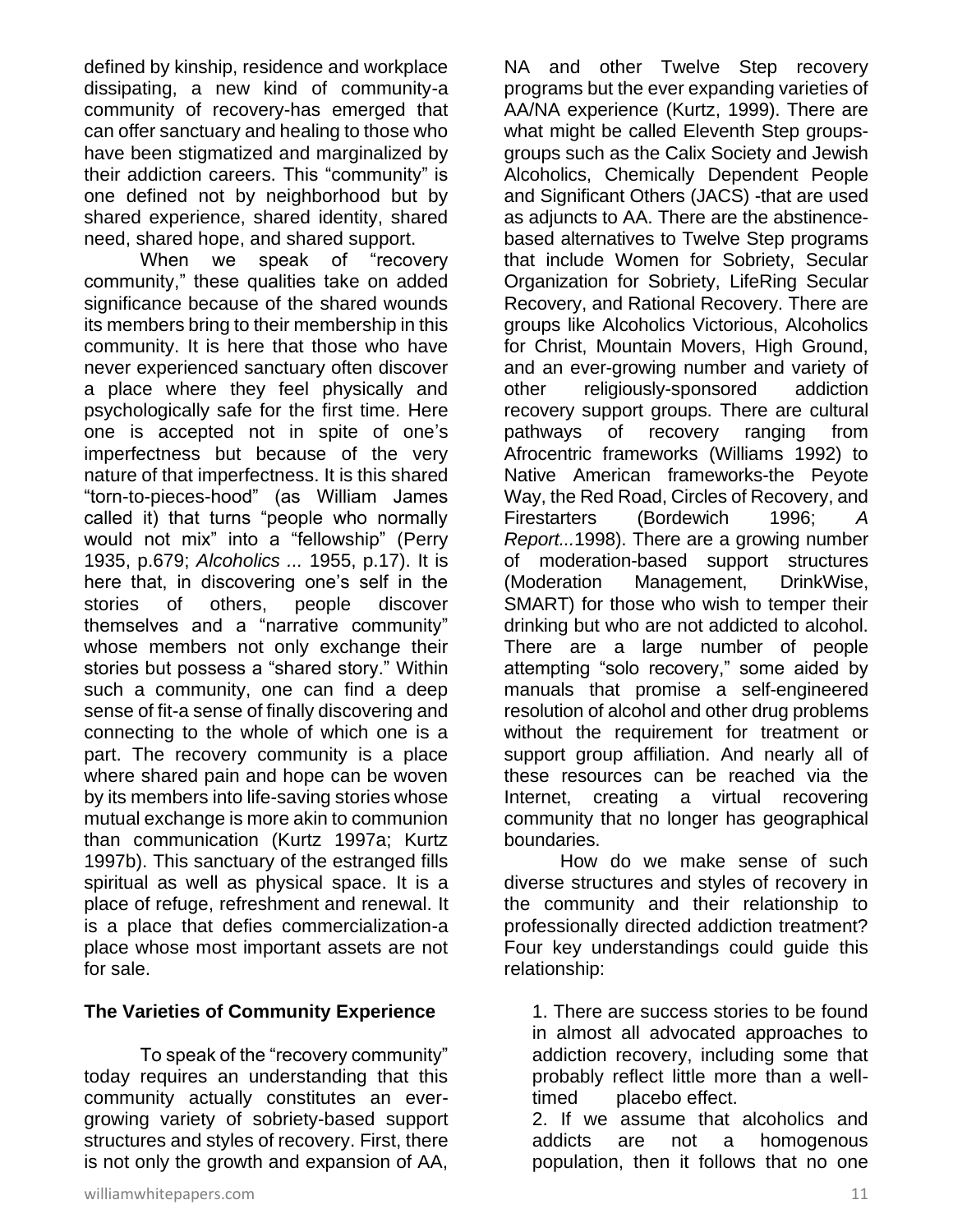defined by kinship, residence and workplace dissipating, a new kind of community-a community of recovery-has emerged that can offer sanctuary and healing to those who have been stigmatized and marginalized by their addiction careers. This "community" is one defined not by neighborhood but by shared experience, shared identity, shared need, shared hope, and shared support.

When we speak of "recovery community," these qualities take on added significance because of the shared wounds its members bring to their membership in this community. It is here that those who have never experienced sanctuary often discover a place where they feel physically and psychologically safe for the first time. Here one is accepted not in spite of one's imperfectness but because of the very nature of that imperfectness. It is this shared "torn-to-pieces-hood" (as William James called it) that turns "people who normally would not mix" into a "fellowship" (Perry 1935, p.679; *Alcoholics ...* 1955, p.17). It is here that, in discovering one's self in the stories of others, people discover themselves and a "narrative community" whose members not only exchange their stories but possess a "shared story." Within such a community, one can find a deep sense of fit-a sense of finally discovering and connecting to the whole of which one is a part. The recovery community is a place where shared pain and hope can be woven by its members into life-saving stories whose mutual exchange is more akin to communion than communication (Kurtz 1997a; Kurtz 1997b). This sanctuary of the estranged fills spiritual as well as physical space. It is a place of refuge, refreshment and renewal. It is a place that defies commercialization-a place whose most important assets are not for sale.

## **The Varieties of Community Experience**

To speak of the "recovery community" today requires an understanding that this community actually constitutes an evergrowing variety of sobriety-based support structures and styles of recovery. First, there is not only the growth and expansion of AA,

NA and other Twelve Step recovery programs but the ever expanding varieties of AA/NA experience (Kurtz, 1999). There are what might be called Eleventh Step groupsgroups such as the Calix Society and Jewish Alcoholics, Chemically Dependent People and Significant Others (JACS) -that are used as adjuncts to AA. There are the abstinencebased alternatives to Twelve Step programs that include Women for Sobriety, Secular Organization for Sobriety, LifeRing Secular Recovery, and Rational Recovery. There are groups like Alcoholics Victorious, Alcoholics for Christ, Mountain Movers, High Ground, and an ever-growing number and variety of other religiously-sponsored addiction recovery support groups. There are cultural pathways of recovery ranging from Afrocentric frameworks (Williams 1992) to Native American frameworks-the Peyote Way, the Red Road, Circles of Recovery, and Firestarters (Bordewich 1996; *A Report...*1998). There are a growing number of moderation-based support structures (Moderation Management, DrinkWise, SMART) for those who wish to temper their drinking but who are not addicted to alcohol. There are a large number of people attempting "solo recovery," some aided by manuals that promise a self-engineered resolution of alcohol and other drug problems without the requirement for treatment or support group affiliation. And nearly all of these resources can be reached via the Internet, creating a virtual recovering community that no longer has geographical boundaries.

How do we make sense of such diverse structures and styles of recovery in the community and their relationship to professionally directed addiction treatment? Four key understandings could guide this relationship:

1. There are success stories to be found in almost all advocated approaches to addiction recovery, including some that probably reflect little more than a welltimed placebo effect.

2. If we assume that alcoholics and addicts are not a homogenous population, then it follows that no one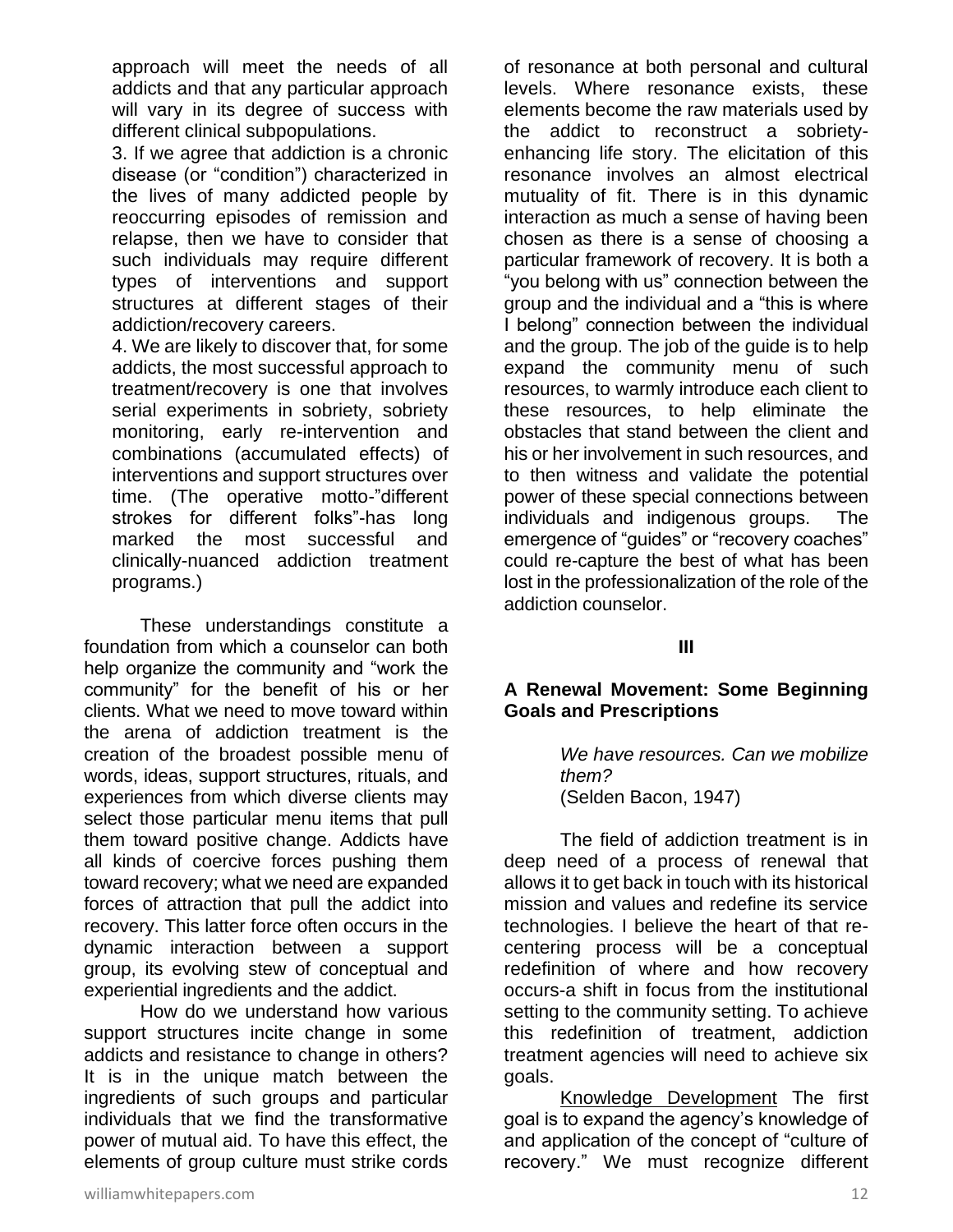approach will meet the needs of all addicts and that any particular approach will vary in its degree of success with different clinical subpopulations.

3. If we agree that addiction is a chronic disease (or "condition") characterized in the lives of many addicted people by reoccurring episodes of remission and relapse, then we have to consider that such individuals may require different types of interventions and support structures at different stages of their addiction/recovery careers.

4. We are likely to discover that, for some addicts, the most successful approach to treatment/recovery is one that involves serial experiments in sobriety, sobriety monitoring, early re-intervention and combinations (accumulated effects) of interventions and support structures over time. (The operative motto-"different strokes for different folks"-has long marked the most successful and clinically-nuanced addiction treatment programs.)

These understandings constitute a foundation from which a counselor can both help organize the community and "work the community" for the benefit of his or her clients. What we need to move toward within the arena of addiction treatment is the creation of the broadest possible menu of words, ideas, support structures, rituals, and experiences from which diverse clients may select those particular menu items that pull them toward positive change. Addicts have all kinds of coercive forces pushing them toward recovery; what we need are expanded forces of attraction that pull the addict into recovery. This latter force often occurs in the dynamic interaction between a support group, its evolving stew of conceptual and experiential ingredients and the addict.

How do we understand how various support structures incite change in some addicts and resistance to change in others? It is in the unique match between the ingredients of such groups and particular individuals that we find the transformative power of mutual aid. To have this effect, the elements of group culture must strike cords of resonance at both personal and cultural levels. Where resonance exists, these elements become the raw materials used by the addict to reconstruct a sobrietyenhancing life story. The elicitation of this resonance involves an almost electrical mutuality of fit. There is in this dynamic interaction as much a sense of having been chosen as there is a sense of choosing a particular framework of recovery. It is both a "you belong with us" connection between the group and the individual and a "this is where I belong" connection between the individual and the group. The job of the guide is to help expand the community menu of such resources, to warmly introduce each client to these resources, to help eliminate the obstacles that stand between the client and his or her involvement in such resources, and to then witness and validate the potential power of these special connections between individuals and indigenous groups. The emergence of "guides" or "recovery coaches" could re-capture the best of what has been lost in the professionalization of the role of the addiction counselor.

**III**

#### **A Renewal Movement: Some Beginning Goals and Prescriptions**

*We have resources. Can we mobilize them?* (Selden Bacon, 1947)

The field of addiction treatment is in deep need of a process of renewal that allows it to get back in touch with its historical mission and values and redefine its service technologies. I believe the heart of that recentering process will be a conceptual redefinition of where and how recovery occurs-a shift in focus from the institutional setting to the community setting. To achieve this redefinition of treatment, addiction treatment agencies will need to achieve six goals.

Knowledge Development The first goal is to expand the agency's knowledge of and application of the concept of "culture of recovery." We must recognize different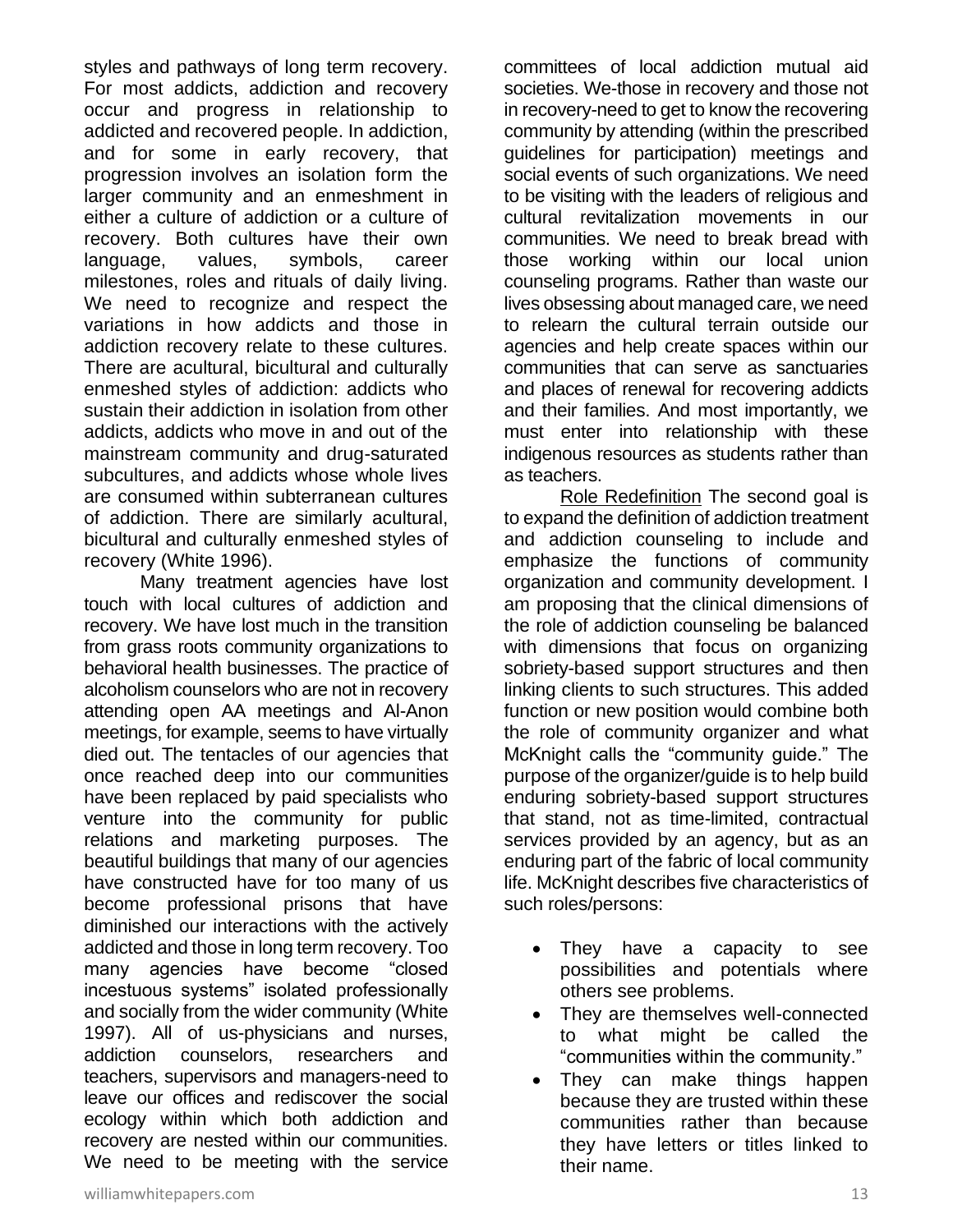styles and pathways of long term recovery. For most addicts, addiction and recovery occur and progress in relationship to addicted and recovered people. In addiction, and for some in early recovery, that progression involves an isolation form the larger community and an enmeshment in either a culture of addiction or a culture of recovery. Both cultures have their own language, values, symbols, career milestones, roles and rituals of daily living. We need to recognize and respect the variations in how addicts and those in addiction recovery relate to these cultures. There are acultural, bicultural and culturally enmeshed styles of addiction: addicts who sustain their addiction in isolation from other addicts, addicts who move in and out of the mainstream community and drug-saturated subcultures, and addicts whose whole lives are consumed within subterranean cultures of addiction. There are similarly acultural, bicultural and culturally enmeshed styles of recovery (White 1996).

Many treatment agencies have lost touch with local cultures of addiction and recovery. We have lost much in the transition from grass roots community organizations to behavioral health businesses. The practice of alcoholism counselors who are not in recovery attending open AA meetings and Al-Anon meetings, for example, seems to have virtually died out. The tentacles of our agencies that once reached deep into our communities have been replaced by paid specialists who venture into the community for public relations and marketing purposes. The beautiful buildings that many of our agencies have constructed have for too many of us become professional prisons that have diminished our interactions with the actively addicted and those in long term recovery. Too many agencies have become "closed incestuous systems" isolated professionally and socially from the wider community (White 1997). All of us-physicians and nurses, addiction counselors, researchers and teachers, supervisors and managers-need to leave our offices and rediscover the social ecology within which both addiction and recovery are nested within our communities. We need to be meeting with the service

committees of local addiction mutual aid societies. We-those in recovery and those not in recovery-need to get to know the recovering community by attending (within the prescribed guidelines for participation) meetings and social events of such organizations. We need to be visiting with the leaders of religious and cultural revitalization movements in our communities. We need to break bread with those working within our local union counseling programs. Rather than waste our lives obsessing about managed care, we need to relearn the cultural terrain outside our agencies and help create spaces within our communities that can serve as sanctuaries and places of renewal for recovering addicts and their families. And most importantly, we must enter into relationship with these indigenous resources as students rather than as teachers.

Role Redefinition The second goal is to expand the definition of addiction treatment and addiction counseling to include and emphasize the functions of community organization and community development. I am proposing that the clinical dimensions of the role of addiction counseling be balanced with dimensions that focus on organizing sobriety-based support structures and then linking clients to such structures. This added function or new position would combine both the role of community organizer and what McKnight calls the "community guide." The purpose of the organizer/guide is to help build enduring sobriety-based support structures that stand, not as time-limited, contractual services provided by an agency, but as an enduring part of the fabric of local community life. McKnight describes five characteristics of such roles/persons:

- They have a capacity to see possibilities and potentials where others see problems.
- They are themselves well-connected to what might be called the "communities within the community."
- They can make things happen because they are trusted within these communities rather than because they have letters or titles linked to their name.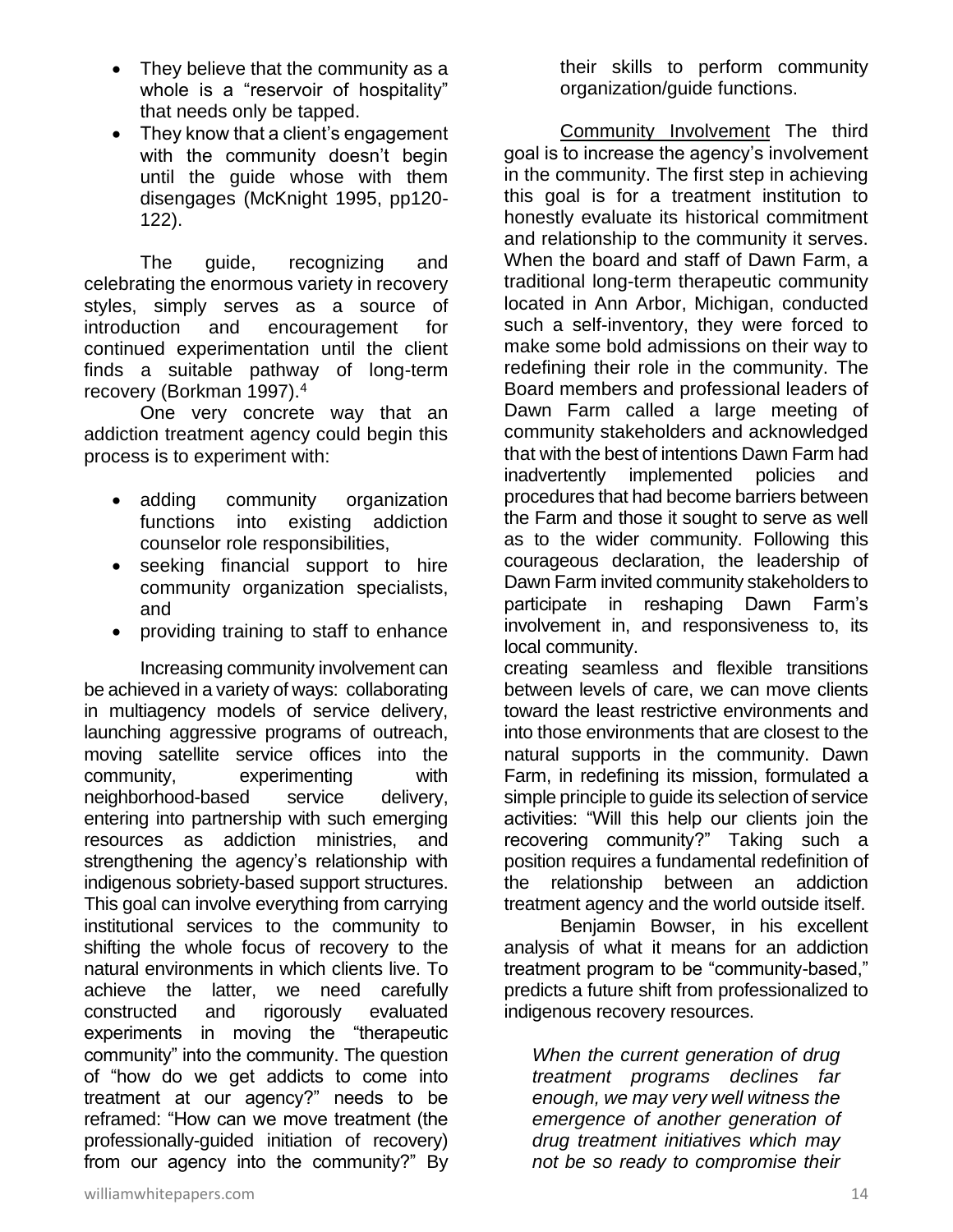- They believe that the community as a whole is a "reservoir of hospitality" that needs only be tapped.
- They know that a client's engagement with the community doesn't begin until the guide whose with them disengages (McKnight 1995, pp120- 122).

The guide, recognizing and celebrating the enormous variety in recovery styles, simply serves as a source of introduction and encouragement for continued experimentation until the client finds a suitable pathway of long-term recovery (Borkman 1997).<sup>4</sup>

One very concrete way that an addiction treatment agency could begin this process is to experiment with:

- adding community organization functions into existing addiction counselor role responsibilities,
- seeking financial support to hire community organization specialists, and
- providing training to staff to enhance

Increasing community involvement can be achieved in a variety of ways: collaborating in multiagency models of service delivery, launching aggressive programs of outreach, moving satellite service offices into the community, experimenting with neighborhood-based service delivery, entering into partnership with such emerging resources as addiction ministries, and strengthening the agency's relationship with indigenous sobriety-based support structures. This goal can involve everything from carrying institutional services to the community to shifting the whole focus of recovery to the natural environments in which clients live. To achieve the latter, we need carefully constructed and rigorously evaluated experiments in moving the "therapeutic community" into the community. The question of "how do we get addicts to come into treatment at our agency?" needs to be reframed: "How can we move treatment (the professionally-guided initiation of recovery) from our agency into the community?" By

their skills to perform community organization/guide functions.

Community Involvement The third goal is to increase the agency's involvement in the community. The first step in achieving this goal is for a treatment institution to honestly evaluate its historical commitment and relationship to the community it serves. When the board and staff of Dawn Farm, a traditional long-term therapeutic community located in Ann Arbor, Michigan, conducted such a self-inventory, they were forced to make some bold admissions on their way to redefining their role in the community. The Board members and professional leaders of Dawn Farm called a large meeting of community stakeholders and acknowledged that with the best of intentions Dawn Farm had inadvertently implemented policies and procedures that had become barriers between the Farm and those it sought to serve as well as to the wider community. Following this courageous declaration, the leadership of Dawn Farm invited community stakeholders to participate in reshaping Dawn Farm's involvement in, and responsiveness to, its local community.

creating seamless and flexible transitions between levels of care, we can move clients toward the least restrictive environments and into those environments that are closest to the natural supports in the community. Dawn Farm, in redefining its mission, formulated a simple principle to guide its selection of service activities: "Will this help our clients join the recovering community?" Taking such a position requires a fundamental redefinition of the relationship between an addiction treatment agency and the world outside itself.

Benjamin Bowser, in his excellent analysis of what it means for an addiction treatment program to be "community-based," predicts a future shift from professionalized to indigenous recovery resources.

*When the current generation of drug treatment programs declines far enough, we may very well witness the emergence of another generation of drug treatment initiatives which may not be so ready to compromise their*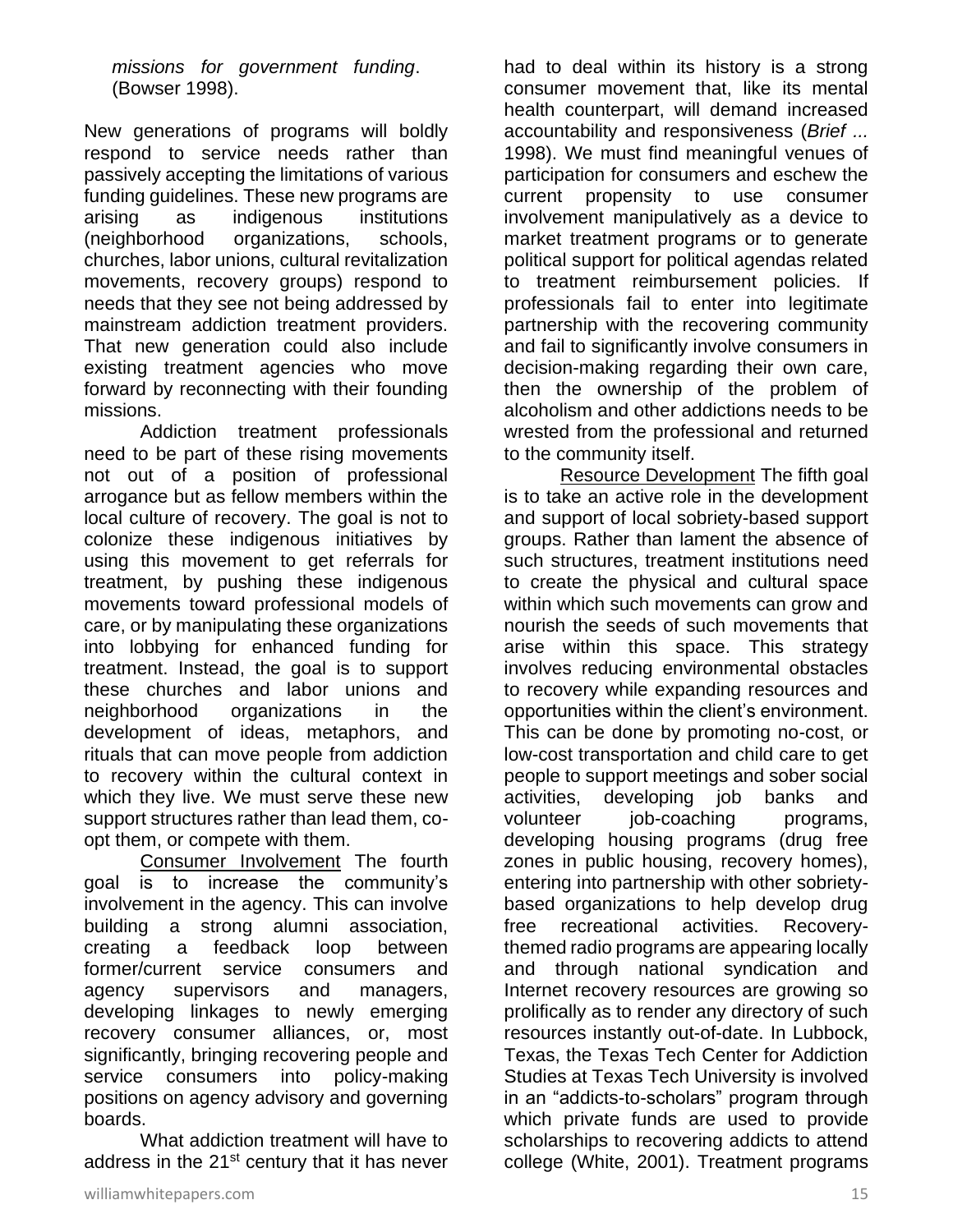*missions for government funding*. (Bowser 1998).

New generations of programs will boldly respond to service needs rather than passively accepting the limitations of various funding guidelines. These new programs are arising as indigenous institutions (neighborhood organizations, schools, churches, labor unions, cultural revitalization movements, recovery groups) respond to needs that they see not being addressed by mainstream addiction treatment providers. That new generation could also include existing treatment agencies who move forward by reconnecting with their founding missions.

Addiction treatment professionals need to be part of these rising movements not out of a position of professional arrogance but as fellow members within the local culture of recovery. The goal is not to colonize these indigenous initiatives by using this movement to get referrals for treatment, by pushing these indigenous movements toward professional models of care, or by manipulating these organizations into lobbying for enhanced funding for treatment. Instead, the goal is to support these churches and labor unions and neighborhood organizations in the development of ideas, metaphors, and rituals that can move people from addiction to recovery within the cultural context in which they live. We must serve these new support structures rather than lead them, coopt them, or compete with them.

Consumer Involvement The fourth goal is to increase the community's involvement in the agency. This can involve building a strong alumni association, creating a feedback loop between former/current service consumers and agency supervisors and managers, developing linkages to newly emerging recovery consumer alliances, or, most significantly, bringing recovering people and service consumers into policy-making positions on agency advisory and governing boards.

What addiction treatment will have to address in the 21<sup>st</sup> century that it has never

williamwhitepapers.com 15

had to deal within its history is a strong consumer movement that, like its mental health counterpart, will demand increased accountability and responsiveness (*Brief ...* 1998). We must find meaningful venues of participation for consumers and eschew the current propensity to use consumer involvement manipulatively as a device to market treatment programs or to generate political support for political agendas related to treatment reimbursement policies. If professionals fail to enter into legitimate partnership with the recovering community and fail to significantly involve consumers in decision-making regarding their own care, then the ownership of the problem of alcoholism and other addictions needs to be wrested from the professional and returned to the community itself.

Resource Development The fifth goal is to take an active role in the development and support of local sobriety-based support groups. Rather than lament the absence of such structures, treatment institutions need to create the physical and cultural space within which such movements can grow and nourish the seeds of such movements that arise within this space. This strategy involves reducing environmental obstacles to recovery while expanding resources and opportunities within the client's environment. This can be done by promoting no-cost, or low-cost transportation and child care to get people to support meetings and sober social activities, developing job banks and volunteer job-coaching programs, developing housing programs (drug free zones in public housing, recovery homes), entering into partnership with other sobrietybased organizations to help develop drug free recreational activities. Recoverythemed radio programs are appearing locally and through national syndication and Internet recovery resources are growing so prolifically as to render any directory of such resources instantly out-of-date. In Lubbock, Texas, the Texas Tech Center for Addiction Studies at Texas Tech University is involved in an "addicts-to-scholars" program through which private funds are used to provide scholarships to recovering addicts to attend college (White, 2001). Treatment programs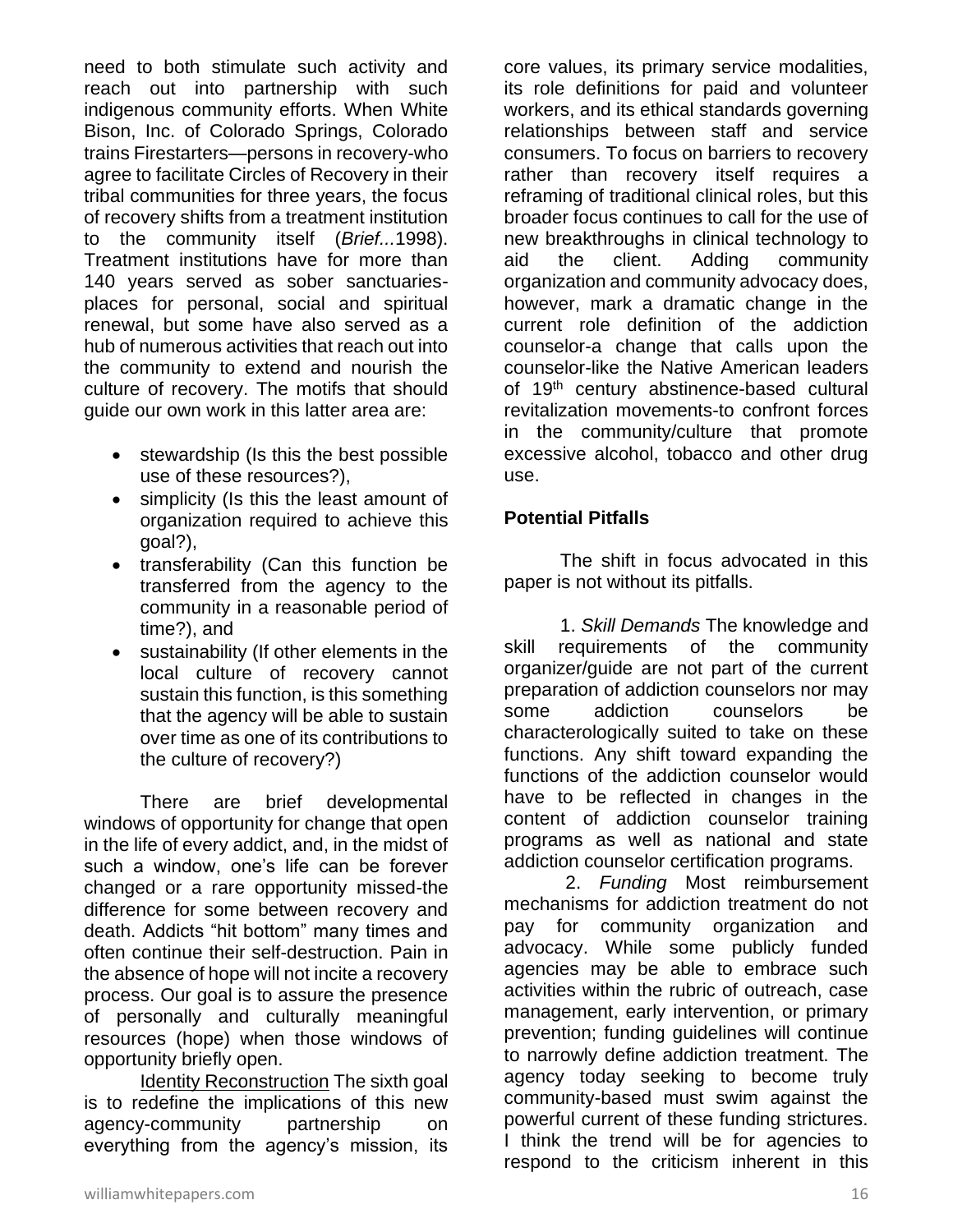need to both stimulate such activity and reach out into partnership with such indigenous community efforts. When White Bison, Inc. of Colorado Springs, Colorado trains Firestarters—persons in recovery-who agree to facilitate Circles of Recovery in their tribal communities for three years, the focus of recovery shifts from a treatment institution to the community itself (*Brief...*1998). Treatment institutions have for more than 140 years served as sober sanctuariesplaces for personal, social and spiritual renewal, but some have also served as a hub of numerous activities that reach out into the community to extend and nourish the culture of recovery. The motifs that should guide our own work in this latter area are:

- stewardship (Is this the best possible use of these resources?),
- simplicity (Is this the least amount of organization required to achieve this goal?),
- transferability (Can this function be transferred from the agency to the community in a reasonable period of time?), and
- sustainability (If other elements in the local culture of recovery cannot sustain this function, is this something that the agency will be able to sustain over time as one of its contributions to the culture of recovery?)

There are brief developmental windows of opportunity for change that open in the life of every addict, and, in the midst of such a window, one's life can be forever changed or a rare opportunity missed-the difference for some between recovery and death. Addicts "hit bottom" many times and often continue their self-destruction. Pain in the absence of hope will not incite a recovery process. Our goal is to assure the presence of personally and culturally meaningful resources (hope) when those windows of opportunity briefly open.

Identity Reconstruction The sixth goal is to redefine the implications of this new agency-community partnership on everything from the agency's mission, its

core values, its primary service modalities, its role definitions for paid and volunteer workers, and its ethical standards governing relationships between staff and service consumers. To focus on barriers to recovery rather than recovery itself requires a reframing of traditional clinical roles, but this broader focus continues to call for the use of new breakthroughs in clinical technology to aid the client. Adding community organization and community advocacy does, however, mark a dramatic change in the current role definition of the addiction counselor-a change that calls upon the counselor-like the Native American leaders of 19<sup>th</sup> century abstinence-based cultural revitalization movements-to confront forces in the community/culture that promote excessive alcohol, tobacco and other drug use.

## **Potential Pitfalls**

The shift in focus advocated in this paper is not without its pitfalls.

1. *Skill Demands* The knowledge and skill requirements of the community organizer/guide are not part of the current preparation of addiction counselors nor may some addiction counselors be characterologically suited to take on these functions. Any shift toward expanding the functions of the addiction counselor would have to be reflected in changes in the content of addiction counselor training programs as well as national and state addiction counselor certification programs.

2. *Funding* Most reimbursement mechanisms for addiction treatment do not pay for community organization and advocacy. While some publicly funded agencies may be able to embrace such activities within the rubric of outreach, case management, early intervention, or primary prevention; funding guidelines will continue to narrowly define addiction treatment. The agency today seeking to become truly community-based must swim against the powerful current of these funding strictures. I think the trend will be for agencies to respond to the criticism inherent in this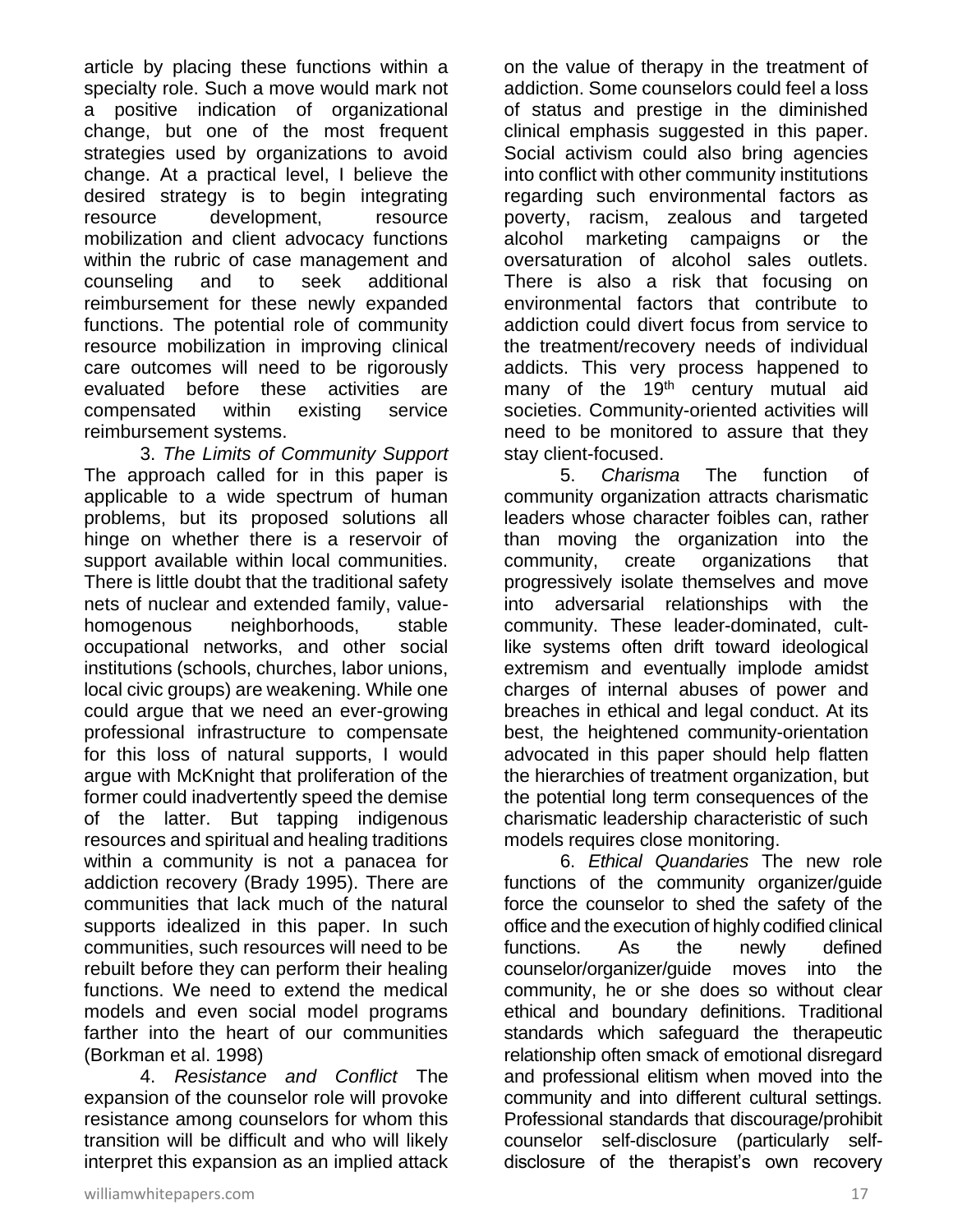article by placing these functions within a specialty role. Such a move would mark not a positive indication of organizational change, but one of the most frequent strategies used by organizations to avoid change. At a practical level, I believe the desired strategy is to begin integrating resource development, resource mobilization and client advocacy functions within the rubric of case management and counseling and to seek additional reimbursement for these newly expanded functions. The potential role of community resource mobilization in improving clinical care outcomes will need to be rigorously evaluated before these activities are compensated within existing service reimbursement systems.

3. *The Limits of Community Support* The approach called for in this paper is applicable to a wide spectrum of human problems, but its proposed solutions all hinge on whether there is a reservoir of support available within local communities. There is little doubt that the traditional safety nets of nuclear and extended family, valuehomogenous neighborhoods, stable occupational networks, and other social institutions (schools, churches, labor unions, local civic groups) are weakening. While one could argue that we need an ever-growing professional infrastructure to compensate for this loss of natural supports, I would argue with McKnight that proliferation of the former could inadvertently speed the demise of the latter. But tapping indigenous resources and spiritual and healing traditions within a community is not a panacea for addiction recovery (Brady 1995). There are communities that lack much of the natural supports idealized in this paper. In such communities, such resources will need to be rebuilt before they can perform their healing functions. We need to extend the medical models and even social model programs farther into the heart of our communities (Borkman et al. 1998)

4. *Resistance and Conflict* The expansion of the counselor role will provoke resistance among counselors for whom this transition will be difficult and who will likely interpret this expansion as an implied attack on the value of therapy in the treatment of addiction. Some counselors could feel a loss of status and prestige in the diminished clinical emphasis suggested in this paper. Social activism could also bring agencies into conflict with other community institutions regarding such environmental factors as poverty, racism, zealous and targeted alcohol marketing campaigns or the oversaturation of alcohol sales outlets. There is also a risk that focusing on environmental factors that contribute to addiction could divert focus from service to the treatment/recovery needs of individual addicts. This very process happened to many of the  $19<sup>th</sup>$  century mutual aid societies. Community-oriented activities will need to be monitored to assure that they stay client-focused.

5. *Charisma* The function of community organization attracts charismatic leaders whose character foibles can, rather than moving the organization into the community, create organizations that progressively isolate themselves and move into adversarial relationships with the community. These leader-dominated, cultlike systems often drift toward ideological extremism and eventually implode amidst charges of internal abuses of power and breaches in ethical and legal conduct. At its best, the heightened community-orientation advocated in this paper should help flatten the hierarchies of treatment organization, but the potential long term consequences of the charismatic leadership characteristic of such models requires close monitoring.

6. *Ethical Quandaries* The new role functions of the community organizer/guide force the counselor to shed the safety of the office and the execution of highly codified clinical functions. As the newly defined counselor/organizer/guide moves into the community, he or she does so without clear ethical and boundary definitions. Traditional standards which safeguard the therapeutic relationship often smack of emotional disregard and professional elitism when moved into the community and into different cultural settings. Professional standards that discourage/prohibit counselor self-disclosure (particularly selfdisclosure of the therapist's own recovery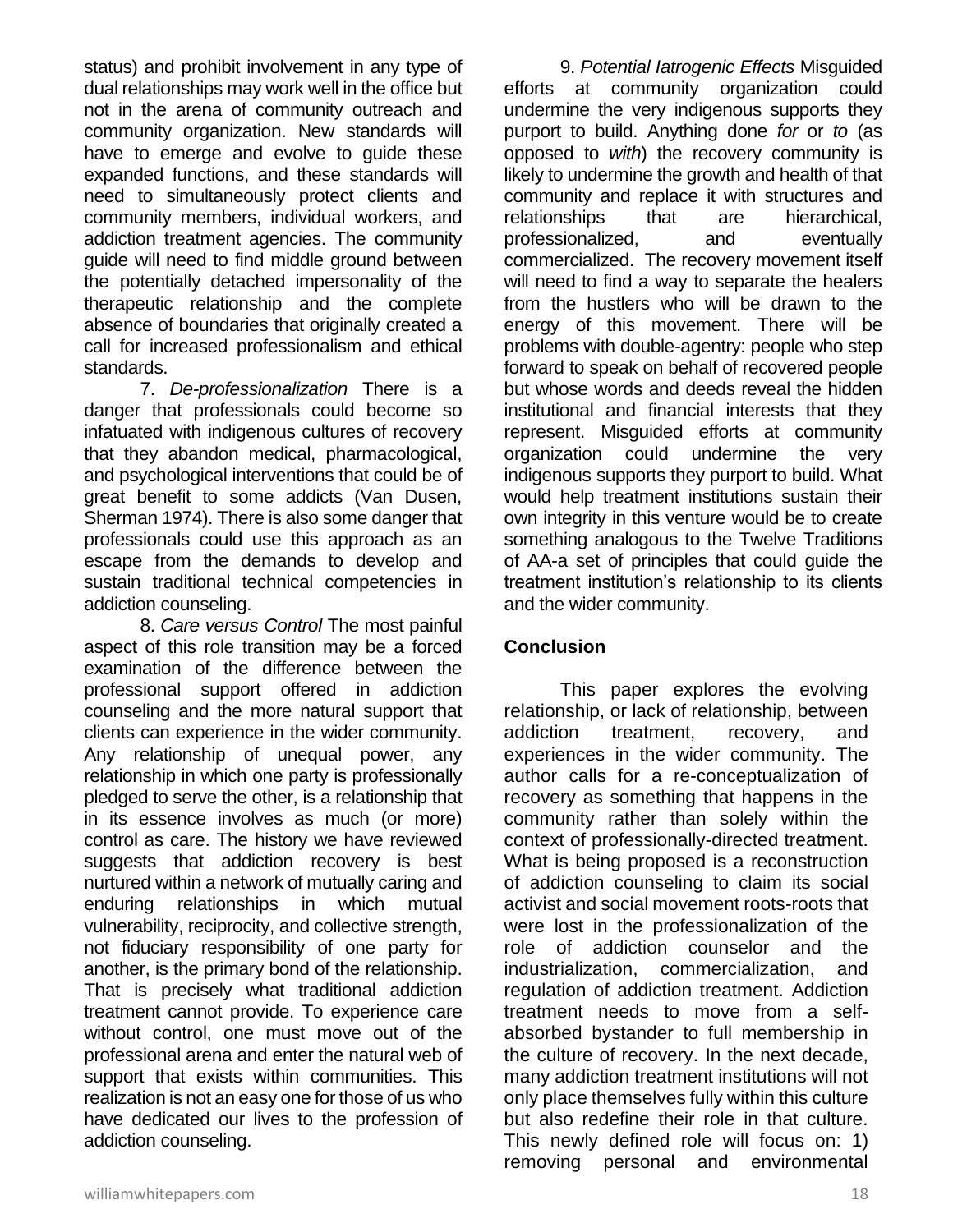status) and prohibit involvement in any type of dual relationships may work well in the office but not in the arena of community outreach and community organization. New standards will have to emerge and evolve to guide these expanded functions, and these standards will need to simultaneously protect clients and community members, individual workers, and addiction treatment agencies. The community guide will need to find middle ground between the potentially detached impersonality of the therapeutic relationship and the complete absence of boundaries that originally created a call for increased professionalism and ethical standards.

7. *De-professionalization* There is a danger that professionals could become so infatuated with indigenous cultures of recovery that they abandon medical, pharmacological, and psychological interventions that could be of great benefit to some addicts (Van Dusen, Sherman 1974). There is also some danger that professionals could use this approach as an escape from the demands to develop and sustain traditional technical competencies in addiction counseling.

8. *Care versus Control* The most painful aspect of this role transition may be a forced examination of the difference between the professional support offered in addiction counseling and the more natural support that clients can experience in the wider community. Any relationship of unequal power, any relationship in which one party is professionally pledged to serve the other, is a relationship that in its essence involves as much (or more) control as care. The history we have reviewed suggests that addiction recovery is best nurtured within a network of mutually caring and enduring relationships in which mutual vulnerability, reciprocity, and collective strength, not fiduciary responsibility of one party for another, is the primary bond of the relationship. That is precisely what traditional addiction treatment cannot provide. To experience care without control, one must move out of the professional arena and enter the natural web of support that exists within communities. This realization is not an easy one for those of us who have dedicated our lives to the profession of addiction counseling.

9. *Potential Iatrogenic Effects* Misguided efforts at community organization could undermine the very indigenous supports they purport to build. Anything done *for* or *to* (as opposed to *with*) the recovery community is likely to undermine the growth and health of that community and replace it with structures and relationships that are hierarchical, professionalized, and eventually commercialized. The recovery movement itself will need to find a way to separate the healers from the hustlers who will be drawn to the energy of this movement. There will be problems with double-agentry: people who step forward to speak on behalf of recovered people but whose words and deeds reveal the hidden institutional and financial interests that they represent. Misguided efforts at community organization could undermine the very indigenous supports they purport to build. What would help treatment institutions sustain their own integrity in this venture would be to create something analogous to the Twelve Traditions of AA-a set of principles that could guide the treatment institution's relationship to its clients and the wider community.

## **Conclusion**

This paper explores the evolving relationship, or lack of relationship, between addiction treatment, recovery, and experiences in the wider community. The author calls for a re-conceptualization of recovery as something that happens in the community rather than solely within the context of professionally-directed treatment. What is being proposed is a reconstruction of addiction counseling to claim its social activist and social movement roots-roots that were lost in the professionalization of the role of addiction counselor and the industrialization, commercialization, and regulation of addiction treatment. Addiction treatment needs to move from a selfabsorbed bystander to full membership in the culture of recovery. In the next decade, many addiction treatment institutions will not only place themselves fully within this culture but also redefine their role in that culture. This newly defined role will focus on: 1) removing personal and environmental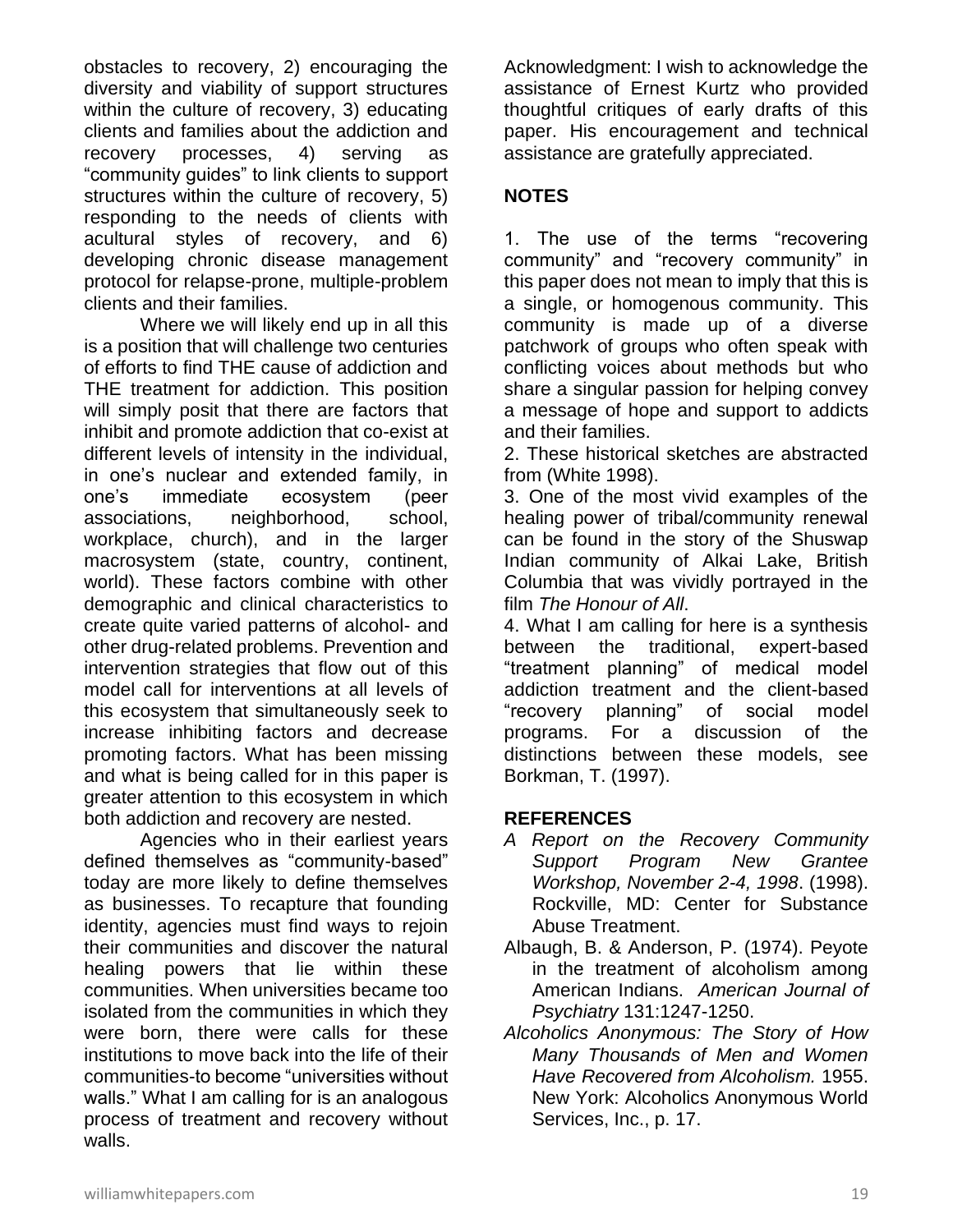obstacles to recovery, 2) encouraging the diversity and viability of support structures within the culture of recovery, 3) educating clients and families about the addiction and recovery processes, 4) serving as "community guides" to link clients to support structures within the culture of recovery, 5) responding to the needs of clients with acultural styles of recovery, and 6) developing chronic disease management protocol for relapse-prone, multiple-problem clients and their families.

Where we will likely end up in all this is a position that will challenge two centuries of efforts to find THE cause of addiction and THE treatment for addiction. This position will simply posit that there are factors that inhibit and promote addiction that co-exist at different levels of intensity in the individual, in one's nuclear and extended family, in one's immediate ecosystem (peer associations, neighborhood, school, workplace, church), and in the larger macrosystem (state, country, continent, world). These factors combine with other demographic and clinical characteristics to create quite varied patterns of alcohol- and other drug-related problems. Prevention and intervention strategies that flow out of this model call for interventions at all levels of this ecosystem that simultaneously seek to increase inhibiting factors and decrease promoting factors. What has been missing and what is being called for in this paper is greater attention to this ecosystem in which both addiction and recovery are nested.

Agencies who in their earliest years defined themselves as "community-based" today are more likely to define themselves as businesses. To recapture that founding identity, agencies must find ways to rejoin their communities and discover the natural healing powers that lie within these communities. When universities became too isolated from the communities in which they were born, there were calls for these institutions to move back into the life of their communities-to become "universities without walls." What I am calling for is an analogous process of treatment and recovery without walls.

Acknowledgment: I wish to acknowledge the assistance of Ernest Kurtz who provided thoughtful critiques of early drafts of this paper. His encouragement and technical assistance are gratefully appreciated.

# **NOTES**

1. The use of the terms "recovering community" and "recovery community" in this paper does not mean to imply that this is a single, or homogenous community. This community is made up of a diverse patchwork of groups who often speak with conflicting voices about methods but who share a singular passion for helping convey a message of hope and support to addicts and their families.

2. These historical sketches are abstracted from (White 1998).

3. One of the most vivid examples of the healing power of tribal/community renewal can be found in the story of the Shuswap Indian community of Alkai Lake, British Columbia that was vividly portrayed in the film *The Honour of All*.

4. What I am calling for here is a synthesis between the traditional, expert-based "treatment planning" of medical model addiction treatment and the client-based "recovery planning" of social model programs. For a discussion of the distinctions between these models, see Borkman, T. (1997).

# **REFERENCES**

- *A Report on the Recovery Community Support Program New Grantee Workshop, November 2-4, 1998*. (1998). Rockville, MD: Center for Substance Abuse Treatment.
- Albaugh, B. & Anderson, P. (1974). Peyote in the treatment of alcoholism among American Indians. *American Journal of Psychiatry* 131:1247-1250.
- *Alcoholics Anonymous: The Story of How Many Thousands of Men and Women Have Recovered from Alcoholism.* 1955. New York: Alcoholics Anonymous World Services, Inc., p. 17.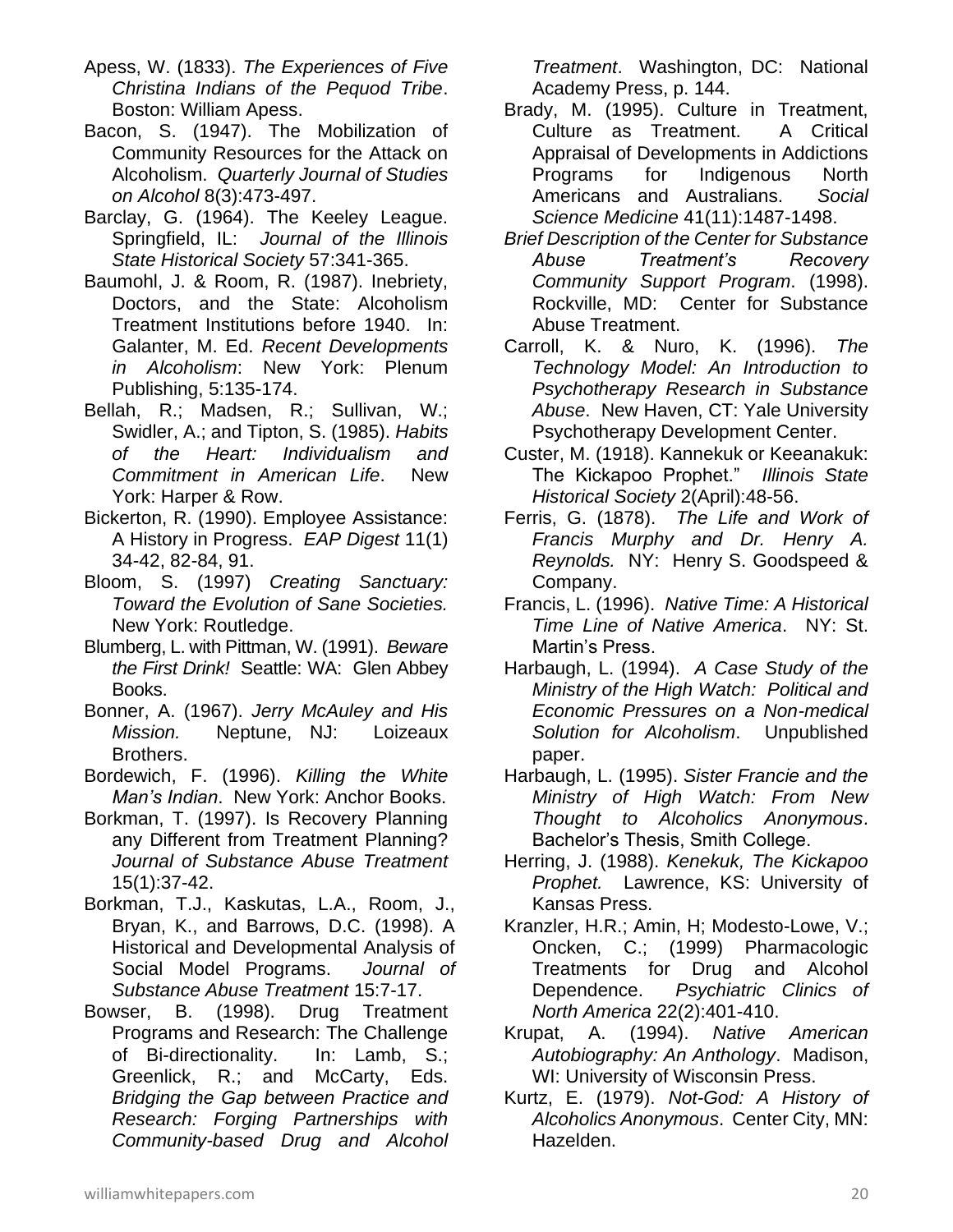- Apess, W. (1833). *The Experiences of Five Christina Indians of the Pequod Tribe*. Boston: William Apess.
- Bacon, S. (1947). The Mobilization of Community Resources for the Attack on Alcoholism. *Quarterly Journal of Studies on Alcohol* 8(3):473-497.
- Barclay, G. (1964). The Keeley League. Springfield, IL: *Journal of the Illinois State Historical Society* 57:341-365.
- Baumohl, J. & Room, R. (1987). Inebriety, Doctors, and the State: Alcoholism Treatment Institutions before 1940. In: Galanter, M. Ed. *Recent Developments in Alcoholism*: New York: Plenum Publishing, 5:135-174.
- Bellah, R.; Madsen, R.; Sullivan, W.; Swidler, A.; and Tipton, S. (1985). *Habits of the Heart: Individualism and Commitment in American Life*. New York: Harper & Row.
- Bickerton, R. (1990). Employee Assistance: A History in Progress. *EAP Digest* 11(1) 34-42, 82-84, 91.
- Bloom, S. (1997) *Creating Sanctuary: Toward the Evolution of Sane Societies.* New York: Routledge.
- Blumberg, L. with Pittman, W. (1991). *Beware the First Drink!* Seattle: WA: Glen Abbey Books.
- Bonner, A. (1967). *Jerry McAuley and His Mission.* Neptune, NJ: Loizeaux Brothers.
- Bordewich, F. (1996). *Killing the White Man's Indian*. New York: Anchor Books.
- Borkman, T. (1997). Is Recovery Planning any Different from Treatment Planning? *Journal of Substance Abuse Treatment* 15(1):37-42.
- Borkman, T.J., Kaskutas, L.A., Room, J., Bryan, K., and Barrows, D.C. (1998). A Historical and Developmental Analysis of Social Model Programs. *Journal of Substance Abuse Treatment* 15:7-17.
- Bowser, B. (1998). Drug Treatment Programs and Research: The Challenge of Bi-directionality. In: Lamb, S.; Greenlick, R.; and McCarty, Eds. *Bridging the Gap between Practice and Research: Forging Partnerships with Community-based Drug and Alcohol*

*Treatment*. Washington, DC: National Academy Press, p. 144.

- Brady, M. (1995). Culture in Treatment, Culture as Treatment. A Critical Appraisal of Developments in Addictions Programs for Indigenous North Americans and Australians. *Social Science Medicine* 41(11):1487-1498.
- *Brief Description of the Center for Substance Abuse Treatment's Recovery Community Support Program*. (1998). Rockville, MD: Center for Substance Abuse Treatment.
- Carroll, K. & Nuro, K. (1996). *The Technology Model: An Introduction to Psychotherapy Research in Substance Abuse*. New Haven, CT: Yale University Psychotherapy Development Center.
- Custer, M. (1918). Kannekuk or Keeanakuk: The Kickapoo Prophet." *Illinois State Historical Society* 2(April):48-56.
- Ferris, G. (1878). *The Life and Work of Francis Murphy and Dr. Henry A. Reynolds.* NY: Henry S. Goodspeed & Company.
- Francis, L. (1996). *Native Time: A Historical Time Line of Native America*. NY: St. Martin's Press.
- Harbaugh, L. (1994). *A Case Study of the Ministry of the High Watch: Political and Economic Pressures on a Non-medical Solution for Alcoholism*. Unpublished paper.
- Harbaugh, L. (1995). *Sister Francie and the Ministry of High Watch: From New Thought to Alcoholics Anonymous*. Bachelor's Thesis, Smith College.
- Herring, J. (1988). *Kenekuk, The Kickapoo Prophet.* Lawrence, KS: University of Kansas Press.
- Kranzler, H.R.; Amin, H; Modesto-Lowe, V.; Oncken, C.; (1999) Pharmacologic Treatments for Drug and Alcohol Dependence. *Psychiatric Clinics of North America* 22(2):401-410.
- Krupat, A. (1994). *Native American Autobiography: An Anthology*. Madison, WI: University of Wisconsin Press.
- Kurtz, E. (1979). *Not-God: A History of Alcoholics Anonymous*. Center City, MN: Hazelden.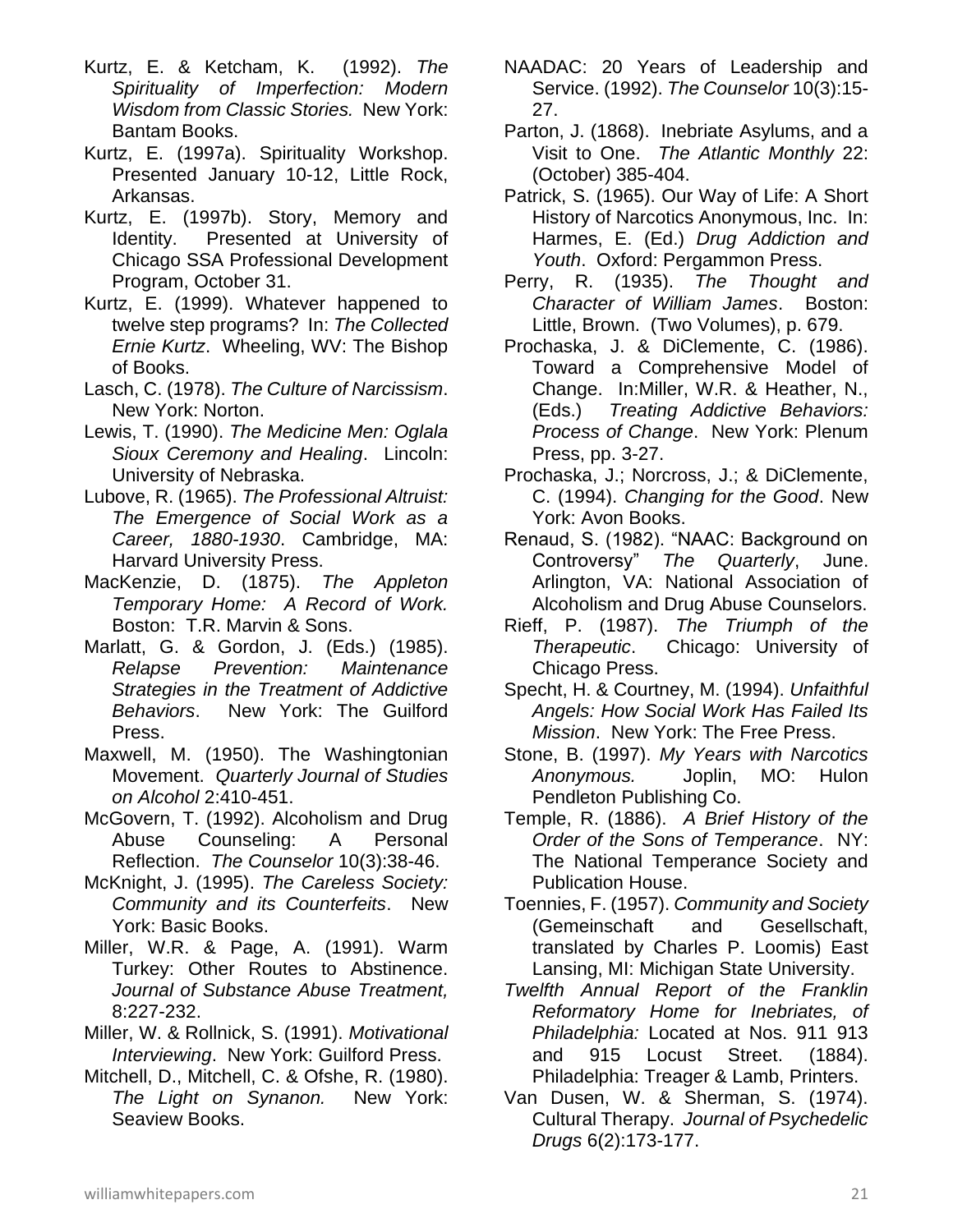- Kurtz, E. & Ketcham, K. (1992). *The Spirituality of Imperfection: Modern Wisdom from Classic Stories.* New York: Bantam Books.
- Kurtz, E. (1997a). Spirituality Workshop. Presented January 10-12, Little Rock, Arkansas.
- Kurtz, E. (1997b). Story, Memory and Identity. Presented at University of Chicago SSA Professional Development Program, October 31.
- Kurtz, E. (1999). Whatever happened to twelve step programs? In: *The Collected Ernie Kurtz*. Wheeling, WV: The Bishop of Books.
- Lasch, C. (1978). *The Culture of Narcissism*. New York: Norton.
- Lewis, T. (1990). *The Medicine Men: Oglala Sioux Ceremony and Healing*. Lincoln: University of Nebraska.
- Lubove, R. (1965). *The Professional Altruist: The Emergence of Social Work as a Career, 1880-1930*. Cambridge, MA: Harvard University Press.
- MacKenzie, D. (1875). *The Appleton Temporary Home: A Record of Work.*  Boston: T.R. Marvin & Sons.
- Marlatt, G. & Gordon, J. (Eds.) (1985). *Relapse Prevention: Maintenance Strategies in the Treatment of Addictive Behaviors*. New York: The Guilford Press.
- Maxwell, M. (1950). The Washingtonian Movement. *Quarterly Journal of Studies on Alcohol* 2:410-451.
- McGovern, T. (1992). Alcoholism and Drug Abuse Counseling: A Personal Reflection. *The Counselor* 10(3):38-46.
- McKnight, J. (1995). *The Careless Society: Community and its Counterfeits*. New York: Basic Books.
- Miller, W.R. & Page, A. (1991). Warm Turkey: Other Routes to Abstinence. *Journal of Substance Abuse Treatment,* 8:227-232.
- Miller, W. & Rollnick, S. (1991). *Motivational Interviewing*. New York: Guilford Press.
- Mitchell, D., Mitchell, C. & Ofshe, R. (1980). *The Light on Synanon.* New York: Seaview Books.
- NAADAC: 20 Years of Leadership and Service. (1992). *The Counselor* 10(3):15- 27.
- Parton, J. (1868). Inebriate Asylums, and a Visit to One. *The Atlantic Monthly* 22: (October) 385-404.
- Patrick, S. (1965). Our Way of Life: A Short History of Narcotics Anonymous, Inc. In: Harmes, E. (Ed.) *Drug Addiction and Youth*. Oxford: Pergammon Press.
- Perry, R. (1935). *The Thought and Character of William James*. Boston: Little, Brown. (Two Volumes), p. 679.
- Prochaska, J. & DiClemente, C. (1986). Toward a Comprehensive Model of Change. In:Miller, W.R. & Heather, N., (Eds.) *Treating Addictive Behaviors: Process of Change*. New York: Plenum Press, pp. 3-27.
- Prochaska, J.; Norcross, J.; & DiClemente, C. (1994). *Changing for the Good*. New York: Avon Books.
- Renaud, S. (1982). "NAAC: Background on Controversy" *The Quarterly*, June. Arlington, VA: National Association of Alcoholism and Drug Abuse Counselors.
- Rieff, P. (1987). *The Triumph of the Therapeutic*. Chicago: University of Chicago Press.
- Specht, H. & Courtney, M. (1994). *Unfaithful Angels: How Social Work Has Failed Its Mission*. New York: The Free Press.
- Stone, B. (1997). *My Years with Narcotics Anonymous.* Joplin, MO: Hulon Pendleton Publishing Co.
- Temple, R. (1886). *A Brief History of the Order of the Sons of Temperance*. NY: The National Temperance Society and Publication House.
- Toennies, F. (1957). *Community and Society* (Gemeinschaft and Gesellschaft, translated by Charles P. Loomis) East Lansing, MI: Michigan State University.
- *Twelfth Annual Report of the Franklin Reformatory Home for Inebriates, of Philadelphia:* Located at Nos. 911 913 and 915 Locust Street. (1884). Philadelphia: Treager & Lamb, Printers.
- Van Dusen, W. & Sherman, S. (1974). Cultural Therapy. *Journal of Psychedelic Drugs* 6(2):173-177.